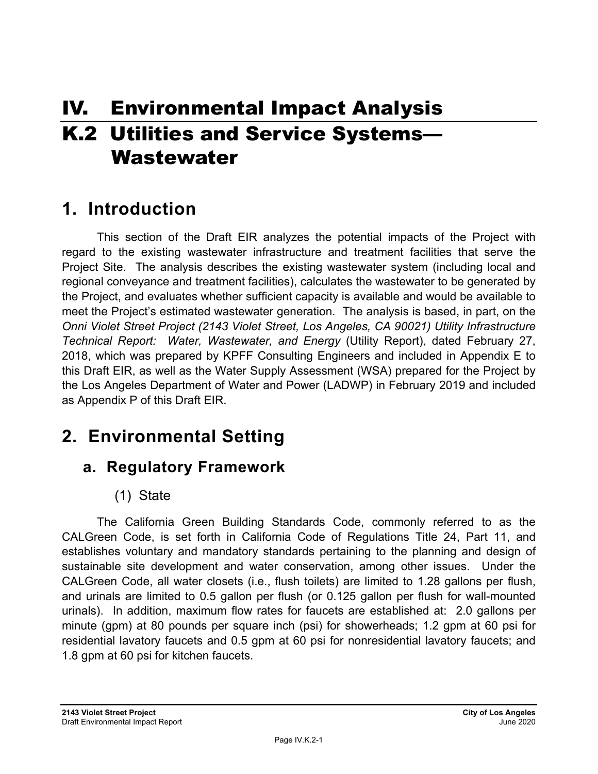# IV. Environmental Impact Analysis K.2 Utilities and Service Systems— Wastewater

# **1. Introduction**

This section of the Draft EIR analyzes the potential impacts of the Project with regard to the existing wastewater infrastructure and treatment facilities that serve the Project Site. The analysis describes the existing wastewater system (including local and regional conveyance and treatment facilities), calculates the wastewater to be generated by the Project, and evaluates whether sufficient capacity is available and would be available to meet the Project's estimated wastewater generation. The analysis is based, in part, on the *Onni Violet Street Project (2143 Violet Street, Los Angeles, CA 90021) Utility Infrastructure Technical Report: Water, Wastewater, and Energy* (Utility Report), dated February 27, 2018, which was prepared by KPFF Consulting Engineers and included in Appendix E to this Draft EIR, as well as the Water Supply Assessment (WSA) prepared for the Project by the Los Angeles Department of Water and Power (LADWP) in February 2019 and included as Appendix P of this Draft EIR.

# **2. Environmental Setting**

# **a. Regulatory Framework**

(1) State

The California Green Building Standards Code, commonly referred to as the CALGreen Code, is set forth in California Code of Regulations Title 24, Part 11, and establishes voluntary and mandatory standards pertaining to the planning and design of sustainable site development and water conservation, among other issues. Under the CALGreen Code, all water closets (i.e., flush toilets) are limited to 1.28 gallons per flush, and urinals are limited to 0.5 gallon per flush (or 0.125 gallon per flush for wall-mounted urinals). In addition, maximum flow rates for faucets are established at: 2.0 gallons per minute (gpm) at 80 pounds per square inch (psi) for showerheads; 1.2 gpm at 60 psi for residential lavatory faucets and 0.5 gpm at 60 psi for nonresidential lavatory faucets; and 1.8 gpm at 60 psi for kitchen faucets.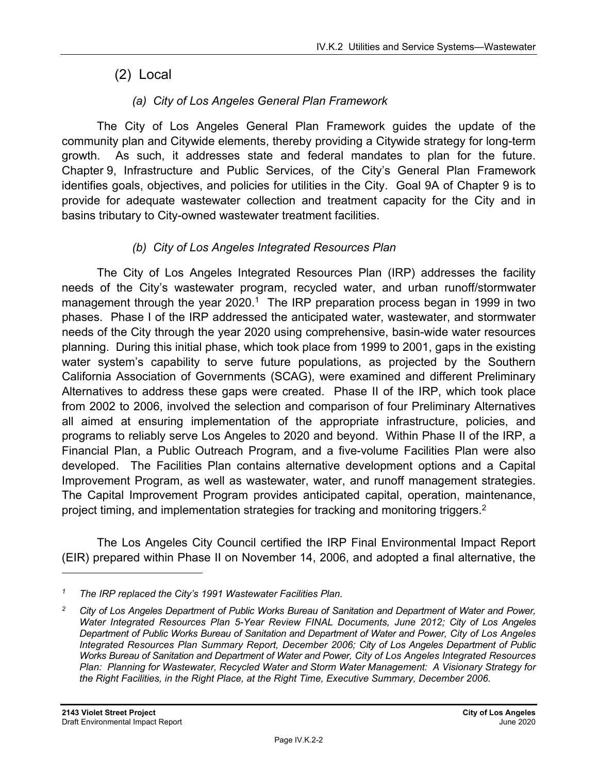## (2) Local

## *(a) City of Los Angeles General Plan Framework*

The City of Los Angeles General Plan Framework guides the update of the community plan and Citywide elements, thereby providing a Citywide strategy for long-term growth. As such, it addresses state and federal mandates to plan for the future. Chapter 9, Infrastructure and Public Services, of the City's General Plan Framework identifies goals, objectives, and policies for utilities in the City. Goal 9A of Chapter 9 is to provide for adequate wastewater collection and treatment capacity for the City and in basins tributary to City-owned wastewater treatment facilities.

## *(b) City of Los Angeles Integrated Resources Plan*

The City of Los Angeles Integrated Resources Plan (IRP) addresses the facility needs of the City's wastewater program, recycled water, and urban runoff/stormwater management through the year  $2020$ .<sup>1</sup> The IRP preparation process began in 1999 in two phases. Phase I of the IRP addressed the anticipated water, wastewater, and stormwater needs of the City through the year 2020 using comprehensive, basin-wide water resources planning. During this initial phase, which took place from 1999 to 2001, gaps in the existing water system's capability to serve future populations, as projected by the Southern California Association of Governments (SCAG), were examined and different Preliminary Alternatives to address these gaps were created. Phase II of the IRP, which took place from 2002 to 2006, involved the selection and comparison of four Preliminary Alternatives all aimed at ensuring implementation of the appropriate infrastructure, policies, and programs to reliably serve Los Angeles to 2020 and beyond. Within Phase II of the IRP, a Financial Plan, a Public Outreach Program, and a five-volume Facilities Plan were also developed. The Facilities Plan contains alternative development options and a Capital Improvement Program, as well as wastewater, water, and runoff management strategies. The Capital Improvement Program provides anticipated capital, operation, maintenance, project timing, and implementation strategies for tracking and monitoring triggers.<sup>2</sup>

The Los Angeles City Council certified the IRP Final Environmental Impact Report (EIR) prepared within Phase II on November 14, 2006, and adopted a final alternative, the

*<sup>1</sup> The IRP replaced the City's 1991 Wastewater Facilities Plan.* 

*<sup>2</sup> City of Los Angeles Department of Public Works Bureau of Sanitation and Department of Water and Power, Water Integrated Resources Plan 5-Year Review FINAL Documents, June 2012; City of Los Angeles Department of Public Works Bureau of Sanitation and Department of Water and Power, City of Los Angeles Integrated Resources Plan Summary Report, December 2006; City of Los Angeles Department of Public Works Bureau of Sanitation and Department of Water and Power, City of Los Angeles Integrated Resources Plan: Planning for Wastewater, Recycled Water and Storm Water Management: A Visionary Strategy for the Right Facilities, in the Right Place, at the Right Time, Executive Summary, December 2006.*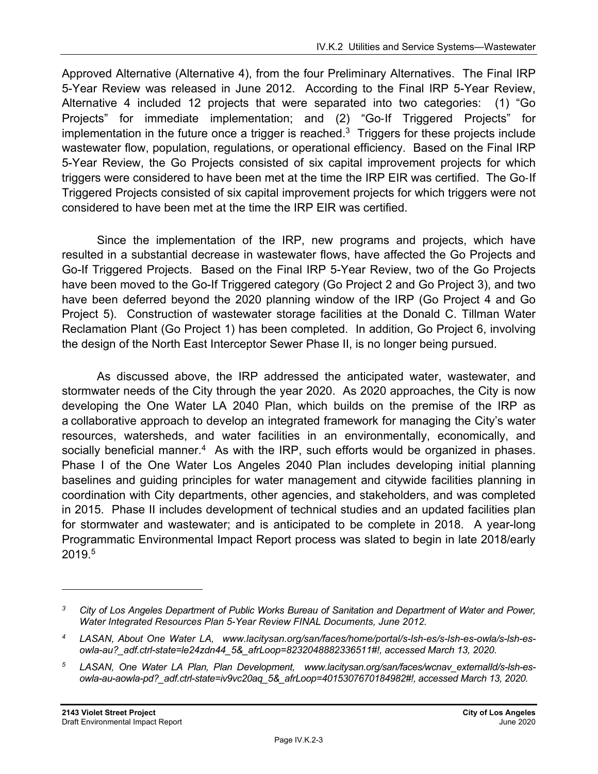Approved Alternative (Alternative 4), from the four Preliminary Alternatives. The Final IRP 5-Year Review was released in June 2012. According to the Final IRP 5-Year Review, Alternative 4 included 12 projects that were separated into two categories: (1) "Go Projects" for immediate implementation; and (2) "Go-If Triggered Projects" for implementation in the future once a trigger is reached.<sup>3</sup> Triggers for these projects include wastewater flow, population, regulations, or operational efficiency. Based on the Final IRP 5-Year Review, the Go Projects consisted of six capital improvement projects for which triggers were considered to have been met at the time the IRP EIR was certified. The Go-If Triggered Projects consisted of six capital improvement projects for which triggers were not considered to have been met at the time the IRP EIR was certified.

Since the implementation of the IRP, new programs and projects, which have resulted in a substantial decrease in wastewater flows, have affected the Go Projects and Go-If Triggered Projects. Based on the Final IRP 5-Year Review, two of the Go Projects have been moved to the Go-If Triggered category (Go Project 2 and Go Project 3), and two have been deferred beyond the 2020 planning window of the IRP (Go Project 4 and Go Project 5). Construction of wastewater storage facilities at the Donald C. Tillman Water Reclamation Plant (Go Project 1) has been completed. In addition, Go Project 6, involving the design of the North East Interceptor Sewer Phase II, is no longer being pursued.

As discussed above, the IRP addressed the anticipated water, wastewater, and stormwater needs of the City through the year 2020. As 2020 approaches, the City is now developing the One Water LA 2040 Plan, which builds on the premise of the IRP as a collaborative approach to develop an integrated framework for managing the City's water resources, watersheds, and water facilities in an environmentally, economically, and socially beneficial manner.<sup>4</sup> As with the IRP, such efforts would be organized in phases. Phase I of the One Water Los Angeles 2040 Plan includes developing initial planning baselines and guiding principles for water management and citywide facilities planning in coordination with City departments, other agencies, and stakeholders, and was completed in 2015. Phase II includes development of technical studies and an updated facilities plan for stormwater and wastewater; and is anticipated to be complete in 2018. A year-long Programmatic Environmental Impact Report process was slated to begin in late 2018/early 2019.5

*<sup>3</sup> City of Los Angeles Department of Public Works Bureau of Sanitation and Department of Water and Power, Water Integrated Resources Plan 5-Year Review FINAL Documents, June 2012.* 

*<sup>4</sup> LASAN, About One Water LA, www.lacitysan.org/san/faces/home/portal/s-lsh-es/s-lsh-es-owla/s-lsh-esowla-au?\_adf.ctrl-state=le24zdn44\_5&\_afrLoop=8232048882336511#!, accessed March 13, 2020.* 

<sup>&</sup>lt;sup>5</sup> LASAN, One Water LA Plan, Plan Development, www.lacitysan.org/san/faces/wcnav externalId/s-lsh-es*owla-au-aowla-pd?\_adf.ctrl-state=iv9vc20aq\_5&\_afrLoop=4015307670184982#!, accessed March 13, 2020.*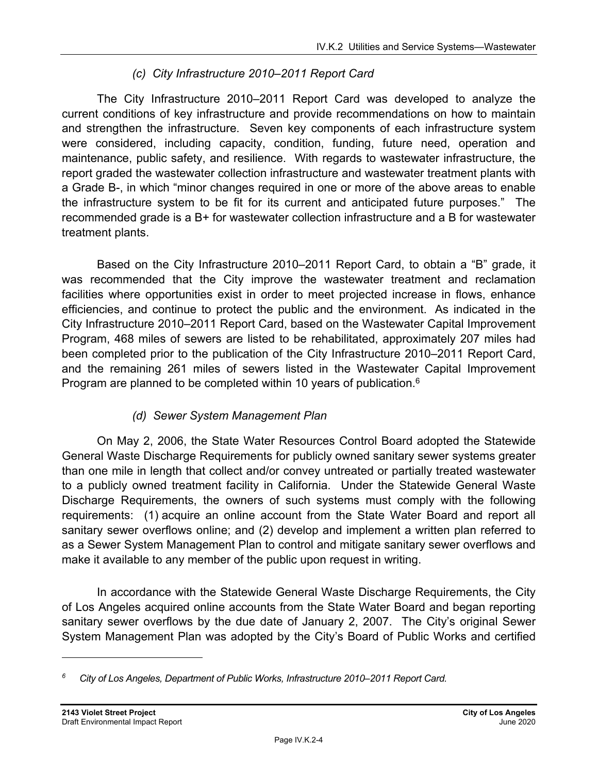## *(c) City Infrastructure 2010–2011 Report Card*

The City Infrastructure 2010–2011 Report Card was developed to analyze the current conditions of key infrastructure and provide recommendations on how to maintain and strengthen the infrastructure. Seven key components of each infrastructure system were considered, including capacity, condition, funding, future need, operation and maintenance, public safety, and resilience. With regards to wastewater infrastructure, the report graded the wastewater collection infrastructure and wastewater treatment plants with a Grade B-, in which "minor changes required in one or more of the above areas to enable the infrastructure system to be fit for its current and anticipated future purposes." The recommended grade is a B+ for wastewater collection infrastructure and a B for wastewater treatment plants.

Based on the City Infrastructure 2010–2011 Report Card, to obtain a "B" grade, it was recommended that the City improve the wastewater treatment and reclamation facilities where opportunities exist in order to meet projected increase in flows, enhance efficiencies, and continue to protect the public and the environment. As indicated in the City Infrastructure 2010–2011 Report Card, based on the Wastewater Capital Improvement Program, 468 miles of sewers are listed to be rehabilitated, approximately 207 miles had been completed prior to the publication of the City Infrastructure 2010–2011 Report Card, and the remaining 261 miles of sewers listed in the Wastewater Capital Improvement Program are planned to be completed within 10 years of publication.<sup>6</sup>

## *(d) Sewer System Management Plan*

On May 2, 2006, the State Water Resources Control Board adopted the Statewide General Waste Discharge Requirements for publicly owned sanitary sewer systems greater than one mile in length that collect and/or convey untreated or partially treated wastewater to a publicly owned treatment facility in California. Under the Statewide General Waste Discharge Requirements, the owners of such systems must comply with the following requirements: (1) acquire an online account from the State Water Board and report all sanitary sewer overflows online; and (2) develop and implement a written plan referred to as a Sewer System Management Plan to control and mitigate sanitary sewer overflows and make it available to any member of the public upon request in writing.

In accordance with the Statewide General Waste Discharge Requirements, the City of Los Angeles acquired online accounts from the State Water Board and began reporting sanitary sewer overflows by the due date of January 2, 2007. The City's original Sewer System Management Plan was adopted by the City's Board of Public Works and certified

*<sup>6</sup> City of Los Angeles, Department of Public Works, Infrastructure 2010–2011 Report Card.*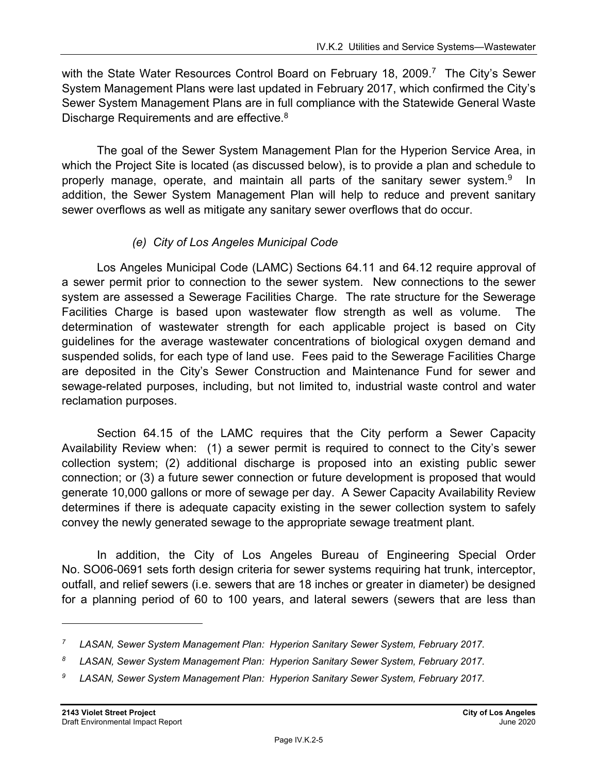with the State Water Resources Control Board on February 18, 2009.<sup>7</sup> The City's Sewer System Management Plans were last updated in February 2017, which confirmed the City's Sewer System Management Plans are in full compliance with the Statewide General Waste Discharge Requirements and are effective.<sup>8</sup>

The goal of the Sewer System Management Plan for the Hyperion Service Area, in which the Project Site is located (as discussed below), is to provide a plan and schedule to properly manage, operate, and maintain all parts of the sanitary sewer system.<sup>9</sup> In addition, the Sewer System Management Plan will help to reduce and prevent sanitary sewer overflows as well as mitigate any sanitary sewer overflows that do occur.

#### *(e) City of Los Angeles Municipal Code*

Los Angeles Municipal Code (LAMC) Sections 64.11 and 64.12 require approval of a sewer permit prior to connection to the sewer system. New connections to the sewer system are assessed a Sewerage Facilities Charge. The rate structure for the Sewerage Facilities Charge is based upon wastewater flow strength as well as volume. The determination of wastewater strength for each applicable project is based on City guidelines for the average wastewater concentrations of biological oxygen demand and suspended solids, for each type of land use. Fees paid to the Sewerage Facilities Charge are deposited in the City's Sewer Construction and Maintenance Fund for sewer and sewage-related purposes, including, but not limited to, industrial waste control and water reclamation purposes.

Section 64.15 of the LAMC requires that the City perform a Sewer Capacity Availability Review when: (1) a sewer permit is required to connect to the City's sewer collection system; (2) additional discharge is proposed into an existing public sewer connection; or (3) a future sewer connection or future development is proposed that would generate 10,000 gallons or more of sewage per day. A Sewer Capacity Availability Review determines if there is adequate capacity existing in the sewer collection system to safely convey the newly generated sewage to the appropriate sewage treatment plant.

In addition, the City of Los Angeles Bureau of Engineering Special Order No. SO06-0691 sets forth design criteria for sewer systems requiring hat trunk, interceptor, outfall, and relief sewers (i.e. sewers that are 18 inches or greater in diameter) be designed for a planning period of 60 to 100 years, and lateral sewers (sewers that are less than

*<sup>7</sup> LASAN, Sewer System Management Plan: Hyperion Sanitary Sewer System, February 2017.* 

*<sup>8</sup> LASAN, Sewer System Management Plan: Hyperion Sanitary Sewer System, February 2017.* 

<sup>&</sup>lt;sup>9</sup> LASAN, Sewer System Management Plan: Hyperion Sanitary Sewer System, February 2017.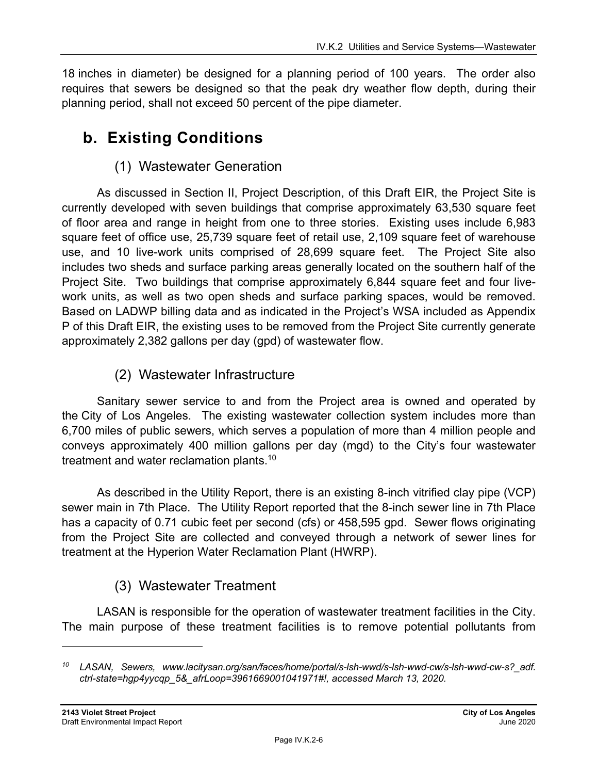18 inches in diameter) be designed for a planning period of 100 years. The order also requires that sewers be designed so that the peak dry weather flow depth, during their planning period, shall not exceed 50 percent of the pipe diameter.

# **b. Existing Conditions**

## (1) Wastewater Generation

As discussed in Section II, Project Description, of this Draft EIR, the Project Site is currently developed with seven buildings that comprise approximately 63,530 square feet of floor area and range in height from one to three stories. Existing uses include 6,983 square feet of office use, 25,739 square feet of retail use, 2,109 square feet of warehouse use, and 10 live-work units comprised of 28,699 square feet. The Project Site also includes two sheds and surface parking areas generally located on the southern half of the Project Site. Two buildings that comprise approximately 6,844 square feet and four livework units, as well as two open sheds and surface parking spaces, would be removed. Based on LADWP billing data and as indicated in the Project's WSA included as Appendix P of this Draft EIR, the existing uses to be removed from the Project Site currently generate approximately 2,382 gallons per day (gpd) of wastewater flow.

## (2) Wastewater Infrastructure

Sanitary sewer service to and from the Project area is owned and operated by the City of Los Angeles. The existing wastewater collection system includes more than 6,700 miles of public sewers, which serves a population of more than 4 million people and conveys approximately 400 million gallons per day (mgd) to the City's four wastewater treatment and water reclamation plants.10

As described in the Utility Report, there is an existing 8-inch vitrified clay pipe (VCP) sewer main in 7th Place. The Utility Report reported that the 8-inch sewer line in 7th Place has a capacity of 0.71 cubic feet per second (cfs) or 458,595 gpd. Sewer flows originating from the Project Site are collected and conveyed through a network of sewer lines for treatment at the Hyperion Water Reclamation Plant (HWRP).

## (3) Wastewater Treatment

LASAN is responsible for the operation of wastewater treatment facilities in the City. The main purpose of these treatment facilities is to remove potential pollutants from

*<sup>10</sup> LASAN, Sewers, www.lacitysan.org/san/faces/home/portal/s-lsh-wwd/s-lsh-wwd-cw/s-lsh-wwd-cw-s?\_adf. ctrl-state=hgp4yycqp\_5&\_afrLoop=3961669001041971#!, accessed March 13, 2020.*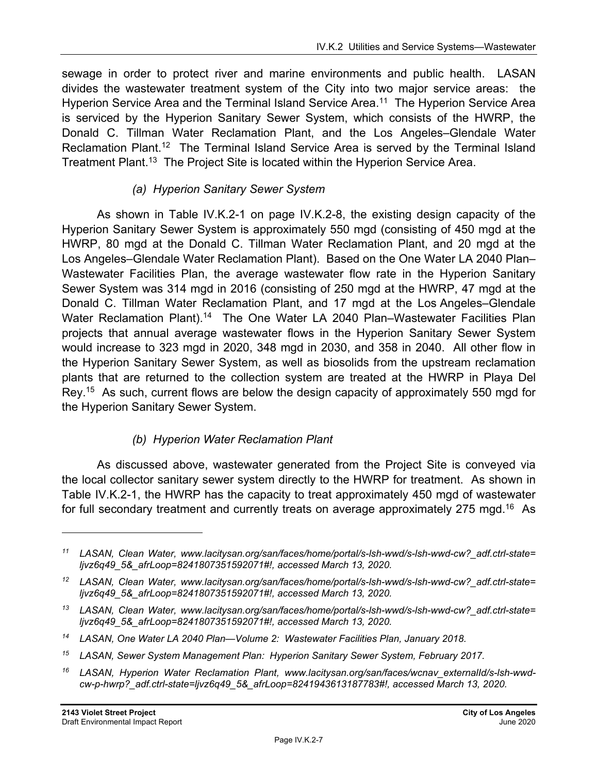sewage in order to protect river and marine environments and public health. LASAN divides the wastewater treatment system of the City into two major service areas: the Hyperion Service Area and the Terminal Island Service Area.<sup>11</sup> The Hyperion Service Area is serviced by the Hyperion Sanitary Sewer System, which consists of the HWRP, the Donald C. Tillman Water Reclamation Plant, and the Los Angeles–Glendale Water Reclamation Plant.<sup>12</sup> The Terminal Island Service Area is served by the Terminal Island Treatment Plant.<sup>13</sup> The Project Site is located within the Hyperion Service Area.

## *(a) Hyperion Sanitary Sewer System*

As shown in Table IV.K.2-1 on page IV.K.2-8, the existing design capacity of the Hyperion Sanitary Sewer System is approximately 550 mgd (consisting of 450 mgd at the HWRP, 80 mgd at the Donald C. Tillman Water Reclamation Plant, and 20 mgd at the Los Angeles–Glendale Water Reclamation Plant). Based on the One Water LA 2040 Plan– Wastewater Facilities Plan, the average wastewater flow rate in the Hyperion Sanitary Sewer System was 314 mgd in 2016 (consisting of 250 mgd at the HWRP, 47 mgd at the Donald C. Tillman Water Reclamation Plant, and 17 mgd at the Los Angeles–Glendale Water Reclamation Plant).<sup>14</sup> The One Water LA 2040 Plan–Wastewater Facilities Plan projects that annual average wastewater flows in the Hyperion Sanitary Sewer System would increase to 323 mgd in 2020, 348 mgd in 2030, and 358 in 2040. All other flow in the Hyperion Sanitary Sewer System, as well as biosolids from the upstream reclamation plants that are returned to the collection system are treated at the HWRP in Playa Del Rey.15 As such, current flows are below the design capacity of approximately 550 mgd for the Hyperion Sanitary Sewer System.

## *(b) Hyperion Water Reclamation Plant*

As discussed above, wastewater generated from the Project Site is conveyed via the local collector sanitary sewer system directly to the HWRP for treatment. As shown in Table IV.K.2-1, the HWRP has the capacity to treat approximately 450 mgd of wastewater for full secondary treatment and currently treats on average approximately 275 mgd.<sup>16</sup> As

*<sup>11</sup> LASAN, Clean Water, www.lacitysan.org/san/faces/home/portal/s-lsh-wwd/s-lsh-wwd-cw?\_adf.ctrl-state= ljvz6q49\_5&\_afrLoop=8241807351592071#!, accessed March 13, 2020.* 

*<sup>12</sup> LASAN, Clean Water, www.lacitysan.org/san/faces/home/portal/s-lsh-wwd/s-lsh-wwd-cw?\_adf.ctrl-state= ljvz6q49\_5&\_afrLoop=8241807351592071#!, accessed March 13, 2020.* 

*<sup>13</sup> LASAN, Clean Water, www.lacitysan.org/san/faces/home/portal/s-lsh-wwd/s-lsh-wwd-cw?\_adf.ctrl-state= ljvz6q49\_5&\_afrLoop=8241807351592071#!, accessed March 13, 2020.* 

*<sup>14</sup> LASAN, One Water LA 2040 Plan—Volume 2: Wastewater Facilities Plan, January 2018.* 

*<sup>15</sup> LASAN, Sewer System Management Plan: Hyperion Sanitary Sewer System, February 2017.* 

*<sup>16</sup> LASAN, Hyperion Water Reclamation Plant, www.lacitysan.org/san/faces/wcnav\_externalId/s-lsh-wwdcw-p-hwrp?\_adf.ctrl-state=ljvz6q49\_5&\_afrLoop=8241943613187783#!, accessed March 13, 2020.*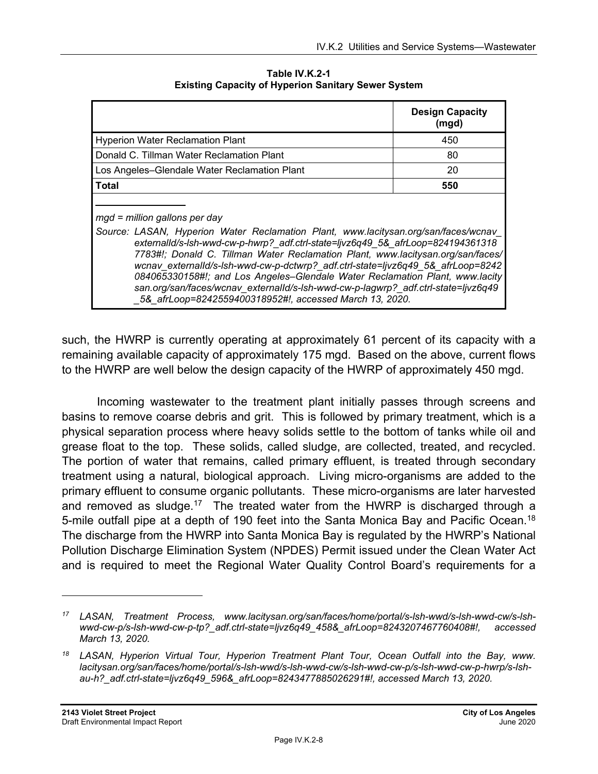|                                                                                                                                                                                                                                                                                                                                                                                                                                                                                                                                                                                                                | <b>Design Capacity</b><br>(mgd) |
|----------------------------------------------------------------------------------------------------------------------------------------------------------------------------------------------------------------------------------------------------------------------------------------------------------------------------------------------------------------------------------------------------------------------------------------------------------------------------------------------------------------------------------------------------------------------------------------------------------------|---------------------------------|
| <b>Hyperion Water Reclamation Plant</b>                                                                                                                                                                                                                                                                                                                                                                                                                                                                                                                                                                        | 450                             |
| Donald C. Tillman Water Reclamation Plant                                                                                                                                                                                                                                                                                                                                                                                                                                                                                                                                                                      | 80                              |
| Los Angeles-Glendale Water Reclamation Plant                                                                                                                                                                                                                                                                                                                                                                                                                                                                                                                                                                   | 20                              |
| <b>Total</b>                                                                                                                                                                                                                                                                                                                                                                                                                                                                                                                                                                                                   | 550                             |
| $mgd$ = million gallons per day<br>Source: LASAN, Hyperion Water Reclamation Plant, www.lacitysan.org/san/faces/wcnav<br>externalId/s-Ish-wwd-cw-p-hwrp?_adf.ctrl-state=ljvz6q49_5&_afrLoop=824194361318<br>7783#!; Donald C. Tillman Water Reclamation Plant, www.lacitysan.org/san/faces/<br>wcnav_externalId/s-Ish-wwd-cw-p-dctwrp?_adf.ctrl-state=ljvz6q49_5&_afrLoop=8242<br>084065330158#!; and Los Angeles-Glendale Water Reclamation Plant, www.lacity<br>san.org/san/faces/wcnav externalld/s-lsh-wwd-cw-p-lagwrp? adf.ctrl-state=ljvz6q49<br>5& afrLoop=8242559400318952#!, accessed March 13, 2020. |                                 |

**Table IV.K.2-1 Existing Capacity of Hyperion Sanitary Sewer System** 

such, the HWRP is currently operating at approximately 61 percent of its capacity with a remaining available capacity of approximately 175 mgd. Based on the above, current flows to the HWRP are well below the design capacity of the HWRP of approximately 450 mgd.

Incoming wastewater to the treatment plant initially passes through screens and basins to remove coarse debris and grit. This is followed by primary treatment, which is a physical separation process where heavy solids settle to the bottom of tanks while oil and grease float to the top. These solids, called sludge, are collected, treated, and recycled. The portion of water that remains, called primary effluent, is treated through secondary treatment using a natural, biological approach. Living micro-organisms are added to the primary effluent to consume organic pollutants. These micro-organisms are later harvested and removed as sludge.<sup>17</sup> The treated water from the HWRP is discharged through a 5-mile outfall pipe at a depth of 190 feet into the Santa Monica Bay and Pacific Ocean.<sup>18</sup> The discharge from the HWRP into Santa Monica Bay is regulated by the HWRP's National Pollution Discharge Elimination System (NPDES) Permit issued under the Clean Water Act and is required to meet the Regional Water Quality Control Board's requirements for a

*<sup>17</sup> LASAN, Treatment Process, www.lacitysan.org/san/faces/home/portal/s-lsh-wwd/s-lsh-wwd-cw/s-lshwwd-cw-p/s-lsh-wwd-cw-p-tp?\_adf.ctrl-state=ljvz6q49\_458&\_afrLoop=8243207467760408#!, accessed March 13, 2020.* 

*<sup>18</sup> LASAN, Hyperion Virtual Tour, Hyperion Treatment Plant Tour, Ocean Outfall into the Bay, www. lacitysan.org/san/faces/home/portal/s-lsh-wwd/s-lsh-wwd-cw/s-lsh-wwd-cw-p/s-lsh-wwd-cw-p-hwrp/s-lshau-h?\_adf.ctrl-state=ljvz6q49\_596&\_afrLoop=8243477885026291#!, accessed March 13, 2020.*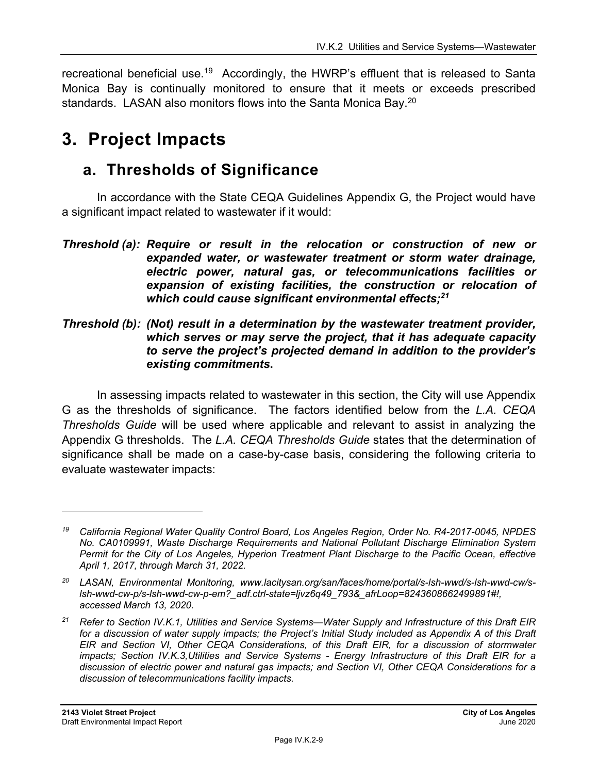recreational beneficial use.<sup>19</sup> Accordingly, the HWRP's effluent that is released to Santa Monica Bay is continually monitored to ensure that it meets or exceeds prescribed standards. LASAN also monitors flows into the Santa Monica Bay.<sup>20</sup>

# **3. Project Impacts**

## **a. Thresholds of Significance**

In accordance with the State CEQA Guidelines Appendix G, the Project would have a significant impact related to wastewater if it would:

#### *Threshold (b): (Not) result in a determination by the wastewater treatment provider, which serves or may serve the project, that it has adequate capacity to serve the project's projected demand in addition to the provider's existing commitments***.**

In assessing impacts related to wastewater in this section, the City will use Appendix G as the thresholds of significance. The factors identified below from the *L.A. CEQA Thresholds Guide* will be used where applicable and relevant to assist in analyzing the Appendix G thresholds. The *L.A. CEQA Thresholds Guide* states that the determination of significance shall be made on a case-by-case basis, considering the following criteria to evaluate wastewater impacts:

*Threshold (a): Require or result in the relocation or construction of new or expanded water, or wastewater treatment or storm water drainage, electric power, natural gas, or telecommunications facilities or expansion of existing facilities, the construction or relocation of which could cause significant environmental effects;21* 

*<sup>19</sup> California Regional Water Quality Control Board, Los Angeles Region, Order No. R4-2017-0045, NPDES No. CA0109991, Waste Discharge Requirements and National Pollutant Discharge Elimination System Permit for the City of Los Angeles, Hyperion Treatment Plant Discharge to the Pacific Ocean, effective April 1, 2017, through March 31, 2022.* 

*<sup>20</sup> LASAN, Environmental Monitoring, www.lacitysan.org/san/faces/home/portal/s-lsh-wwd/s-lsh-wwd-cw/slsh-wwd-cw-p/s-lsh-wwd-cw-p-em?\_adf.ctrl-state=ljvz6q49\_793&\_afrLoop=8243608662499891#!, accessed March 13, 2020.* 

*<sup>21</sup> Refer to Section IV.K.1, Utilities and Service Systems—Water Supply and Infrastructure of this Draft EIR for a discussion of water supply impacts; the Project's Initial Study included as Appendix A of this Draft EIR and Section VI, Other CEQA Considerations, of this Draft EIR, for a discussion of stormwater impacts; Section IV.K.3,Utilities and Service Systems - Energy Infrastructure of this Draft EIR for a discussion of electric power and natural gas impacts; and Section VI, Other CEQA Considerations for a discussion of telecommunications facility impacts.*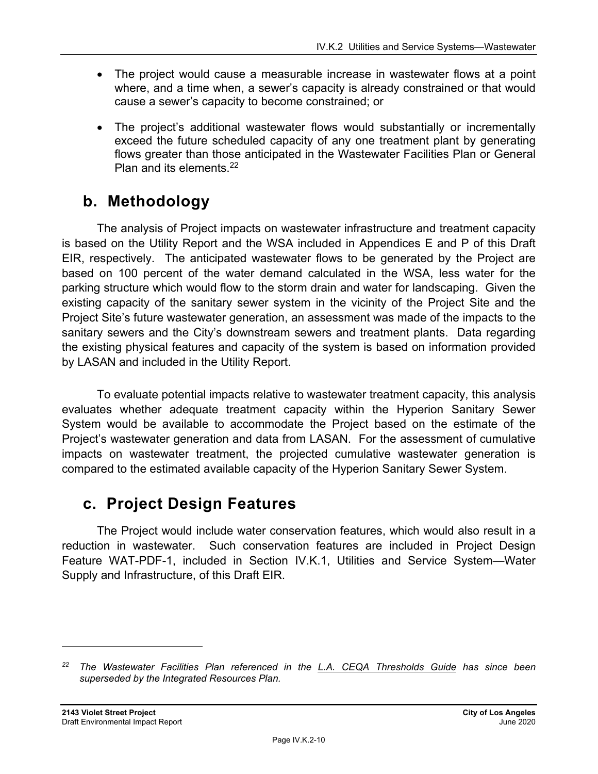- The project would cause a measurable increase in wastewater flows at a point where, and a time when, a sewer's capacity is already constrained or that would cause a sewer's capacity to become constrained; or
- The project's additional wastewater flows would substantially or incrementally exceed the future scheduled capacity of any one treatment plant by generating flows greater than those anticipated in the Wastewater Facilities Plan or General Plan and its elements.<sup>22</sup>

## **b. Methodology**

The analysis of Project impacts on wastewater infrastructure and treatment capacity is based on the Utility Report and the WSA included in Appendices E and P of this Draft EIR, respectively. The anticipated wastewater flows to be generated by the Project are based on 100 percent of the water demand calculated in the WSA, less water for the parking structure which would flow to the storm drain and water for landscaping. Given the existing capacity of the sanitary sewer system in the vicinity of the Project Site and the Project Site's future wastewater generation, an assessment was made of the impacts to the sanitary sewers and the City's downstream sewers and treatment plants. Data regarding the existing physical features and capacity of the system is based on information provided by LASAN and included in the Utility Report.

To evaluate potential impacts relative to wastewater treatment capacity, this analysis evaluates whether adequate treatment capacity within the Hyperion Sanitary Sewer System would be available to accommodate the Project based on the estimate of the Project's wastewater generation and data from LASAN. For the assessment of cumulative impacts on wastewater treatment, the projected cumulative wastewater generation is compared to the estimated available capacity of the Hyperion Sanitary Sewer System.

# **c. Project Design Features**

The Project would include water conservation features, which would also result in a reduction in wastewater. Such conservation features are included in Project Design Feature WAT-PDF-1, included in Section IV.K.1, Utilities and Service System—Water Supply and Infrastructure, of this Draft EIR.

*<sup>22</sup> The Wastewater Facilities Plan referenced in the L.A. CEQA Thresholds Guide has since been superseded by the Integrated Resources Plan.*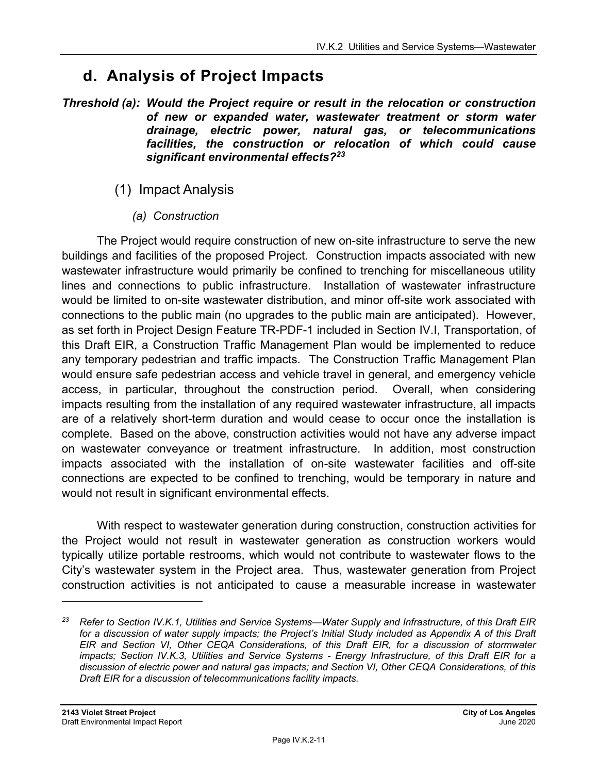# **d. Analysis of Project Impacts**

- *Threshold (a): Would the Project require or result in the relocation or construction of new or expanded water, wastewater treatment or storm water drainage, electric power, natural gas, or telecommunications facilities, the construction or relocation of which could cause significant environmental effects?23*
	- (1) Impact Analysis
		- *(a) Construction*

The Project would require construction of new on-site infrastructure to serve the new buildings and facilities of the proposed Project. Construction impacts associated with new wastewater infrastructure would primarily be confined to trenching for miscellaneous utility lines and connections to public infrastructure. Installation of wastewater infrastructure would be limited to on-site wastewater distribution, and minor off-site work associated with connections to the public main (no upgrades to the public main are anticipated). However, as set forth in Project Design Feature TR-PDF-1 included in Section IV.I, Transportation, of this Draft EIR, a Construction Traffic Management Plan would be implemented to reduce any temporary pedestrian and traffic impacts. The Construction Traffic Management Plan would ensure safe pedestrian access and vehicle travel in general, and emergency vehicle access, in particular, throughout the construction period. Overall, when considering impacts resulting from the installation of any required wastewater infrastructure, all impacts are of a relatively short-term duration and would cease to occur once the installation is complete. Based on the above, construction activities would not have any adverse impact on wastewater conveyance or treatment infrastructure.In addition, most construction impacts associated with the installation of on-site wastewater facilities and off-site connections are expected to be confined to trenching, would be temporary in nature and would not result in significant environmental effects.

With respect to wastewater generation during construction, construction activities for the Project would not result in wastewater generation as construction workers would typically utilize portable restrooms, which would not contribute to wastewater flows to the City's wastewater system in the Project area. Thus, wastewater generation from Project construction activities is not anticipated to cause a measurable increase in wastewater

*<sup>23</sup> Refer to Section IV.K.1, Utilities and Service Systems—Water Supply and Infrastructure, of this Draft EIR*  for a discussion of water supply impacts; the Project's Initial Study included as Appendix A of this Draft *EIR and Section VI, Other CEQA Considerations, of this Draft EIR, for a discussion of stormwater impacts; Section IV.K.3, Utilities and Service Systems - Energy Infrastructure, of this Draft EIR for a discussion of electric power and natural gas impacts; and Section VI, Other CEQA Considerations, of this Draft EIR for a discussion of telecommunications facility impacts.*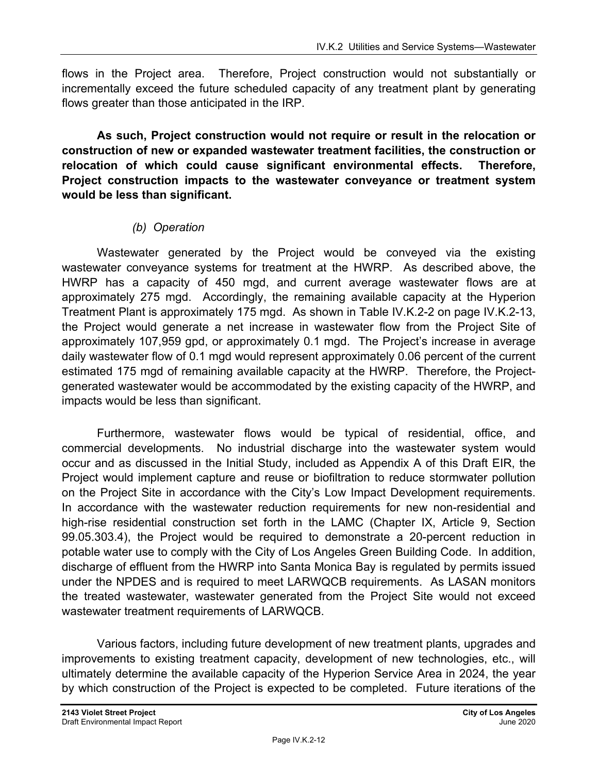flows in the Project area. Therefore, Project construction would not substantially or incrementally exceed the future scheduled capacity of any treatment plant by generating flows greater than those anticipated in the IRP.

**As such, Project construction would not require or result in the relocation or construction of new or expanded wastewater treatment facilities, the construction or relocation of which could cause significant environmental effects. Therefore, Project construction impacts to the wastewater conveyance or treatment system would be less than significant.**

#### *(b) Operation*

Wastewater generated by the Project would be conveyed via the existing wastewater conveyance systems for treatment at the HWRP. As described above, the HWRP has a capacity of 450 mgd, and current average wastewater flows are at approximately 275 mgd. Accordingly, the remaining available capacity at the Hyperion Treatment Plant is approximately 175 mgd. As shown in Table IV.K.2-2 on page IV.K.2-13, the Project would generate a net increase in wastewater flow from the Project Site of approximately 107,959 gpd, or approximately 0.1 mgd. The Project's increase in average daily wastewater flow of 0.1 mgd would represent approximately 0.06 percent of the current estimated 175 mgd of remaining available capacity at the HWRP. Therefore, the Projectgenerated wastewater would be accommodated by the existing capacity of the HWRP, and impacts would be less than significant.

Furthermore, wastewater flows would be typical of residential, office, and commercial developments. No industrial discharge into the wastewater system would occur and as discussed in the Initial Study, included as Appendix A of this Draft EIR, the Project would implement capture and reuse or biofiltration to reduce stormwater pollution on the Project Site in accordance with the City's Low Impact Development requirements. In accordance with the wastewater reduction requirements for new non-residential and high-rise residential construction set forth in the LAMC (Chapter IX, Article 9, Section 99.05.303.4), the Project would be required to demonstrate a 20-percent reduction in potable water use to comply with the City of Los Angeles Green Building Code. In addition, discharge of effluent from the HWRP into Santa Monica Bay is regulated by permits issued under the NPDES and is required to meet LARWQCB requirements. As LASAN monitors the treated wastewater, wastewater generated from the Project Site would not exceed wastewater treatment requirements of LARWQCB.

Various factors, including future development of new treatment plants, upgrades and improvements to existing treatment capacity, development of new technologies, etc., will ultimately determine the available capacity of the Hyperion Service Area in 2024, the year by which construction of the Project is expected to be completed. Future iterations of the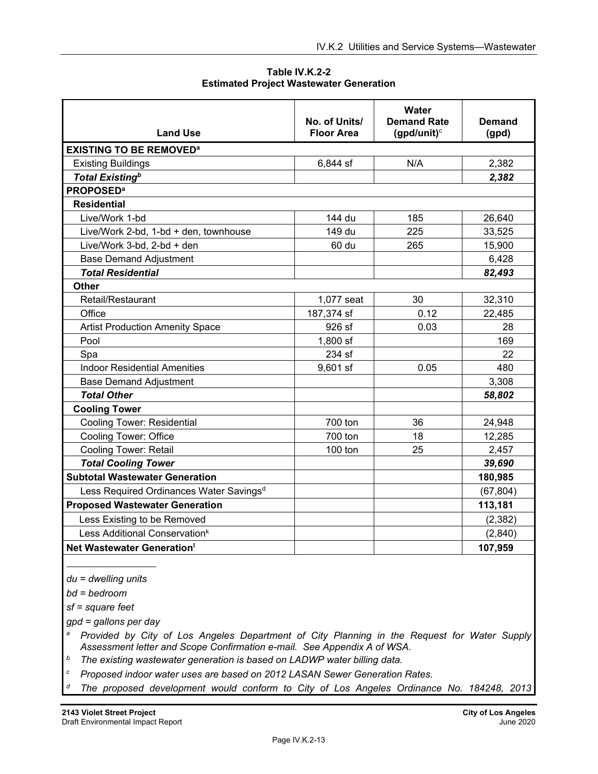**Table IV.K.2-2 Estimated Project Wastewater Generation** 

| <b>Land Use</b>                                     | No. of Units/<br><b>Floor Area</b> | Water<br><b>Demand Rate</b><br>(gpd/unit) $c$ | <b>Demand</b><br>(gpd) |
|-----------------------------------------------------|------------------------------------|-----------------------------------------------|------------------------|
| <b>EXISTING TO BE REMOVED<sup>a</sup></b>           |                                    |                                               |                        |
| <b>Existing Buildings</b>                           | 6,844 sf                           | N/A                                           | 2,382                  |
| <b>Total Existing</b> <sup>b</sup>                  |                                    |                                               | 2,382                  |
| <b>PROPOSED<sup>a</sup></b>                         |                                    |                                               |                        |
| <b>Residential</b>                                  |                                    |                                               |                        |
| Live/Work 1-bd                                      | 144 du                             | 185                                           | 26,640                 |
| Live/Work 2-bd, 1-bd + den, townhouse               | 149 du                             | 225                                           | 33,525                 |
| Live/Work 3-bd, 2-bd + den                          | 60 du                              | 265                                           | 15,900                 |
| <b>Base Demand Adjustment</b>                       |                                    |                                               | 6,428                  |
| <b>Total Residential</b>                            |                                    |                                               | 82,493                 |
| <b>Other</b>                                        |                                    |                                               |                        |
| Retail/Restaurant                                   | 1,077 seat                         | 30                                            | 32,310                 |
| Office                                              | 187,374 sf                         | 0.12                                          | 22,485                 |
| <b>Artist Production Amenity Space</b>              | 926 sf                             | 0.03                                          | 28                     |
| Pool                                                | 1,800 sf                           |                                               | 169                    |
| Spa                                                 | 234 sf                             |                                               | 22                     |
| <b>Indoor Residential Amenities</b>                 | $9,601$ sf                         | 0.05                                          | 480                    |
| <b>Base Demand Adjustment</b>                       |                                    |                                               | 3,308                  |
| <b>Total Other</b>                                  |                                    |                                               | 58,802                 |
| <b>Cooling Tower</b>                                |                                    |                                               |                        |
| <b>Cooling Tower: Residential</b>                   | 700 ton                            | 36                                            | 24,948                 |
| <b>Cooling Tower: Office</b>                        | 700 ton                            | 18                                            | 12,285                 |
| Cooling Tower: Retail                               | 100 ton                            | 25                                            | 2,457                  |
| <b>Total Cooling Tower</b>                          |                                    |                                               | 39,690                 |
| <b>Subtotal Wastewater Generation</b>               |                                    |                                               | 180,985                |
| Less Required Ordinances Water Savings <sup>d</sup> |                                    |                                               | (67, 804)              |
| <b>Proposed Wastewater Generation</b>               |                                    |                                               | 113,181                |
| Less Existing to be Removed                         |                                    |                                               | (2, 382)               |
| Less Additional Conservation <sup>k</sup>           |                                    |                                               | (2,840)                |
| Net Wastewater Generation <sup>1</sup>              |                                    |                                               | 107,959                |

*du = dwelling units* 

*bd = bedroom* 

 $\overline{a}$ 

*sf = square feet* 

*gpd = gallons per day* 

*a Provided by City of Los Angeles Department of City Planning in the Request for Water Supply Assessment letter and Scope Confirmation e-mail. See Appendix A of WSA.* 

*b The existing wastewater generation is based on LADWP water billing data.* 

*c Proposed indoor water uses are based on 2012 LASAN Sewer Generation Rates.* 

*d The proposed development would conform to City of Los Angeles Ordinance No. 184248, 2013*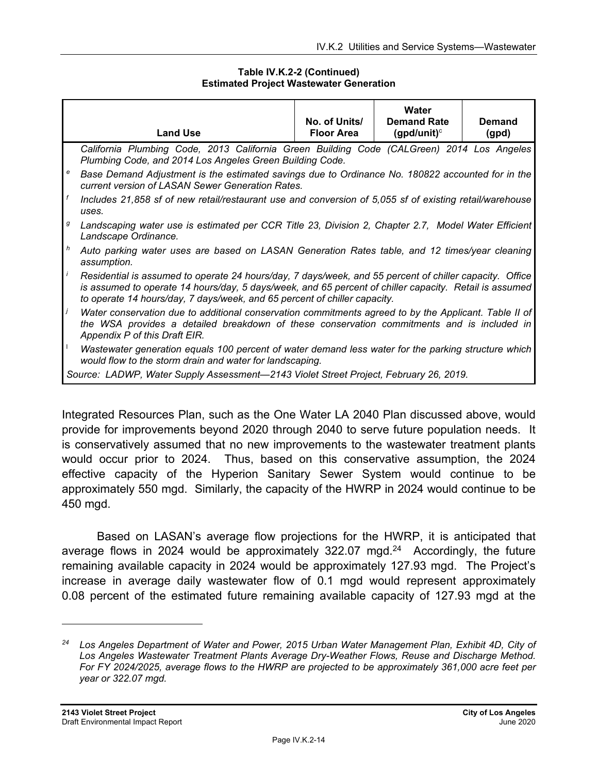#### **Table IV.K.2-2 (Continued) Estimated Project Wastewater Generation**

|            | <b>Land Use</b>                                                                                                                                                                                                                                                                                | No. of Units/<br><b>Floor Area</b> | Water<br><b>Demand Rate</b><br>(gpd/unit) $\circ$ | Demand<br>(gpd) |  |
|------------|------------------------------------------------------------------------------------------------------------------------------------------------------------------------------------------------------------------------------------------------------------------------------------------------|------------------------------------|---------------------------------------------------|-----------------|--|
|            | California Plumbing Code, 2013 California Green Building Code (CALGreen) 2014 Los Angeles<br>Plumbing Code, and 2014 Los Angeles Green Building Code.                                                                                                                                          |                                    |                                                   |                 |  |
| e          | Base Demand Adjustment is the estimated savings due to Ordinance No. 180822 accounted for in the<br>current version of LASAN Sewer Generation Rates.                                                                                                                                           |                                    |                                                   |                 |  |
| $\sqrt{f}$ | Includes 21,858 sf of new retail/restaurant use and conversion of 5,055 sf of existing retail/warehouse<br>uses.                                                                                                                                                                               |                                    |                                                   |                 |  |
| g          | Landscaping water use is estimated per CCR Title 23, Division 2, Chapter 2.7, Model Water Efficient<br>Landscape Ordinance.                                                                                                                                                                    |                                    |                                                   |                 |  |
| h          | Auto parking water uses are based on LASAN Generation Rates table, and 12 times/year cleaning<br>assumption.                                                                                                                                                                                   |                                    |                                                   |                 |  |
|            | Residential is assumed to operate 24 hours/day, 7 days/week, and 55 percent of chiller capacity. Office<br>is assumed to operate 14 hours/day, 5 days/week, and 65 percent of chiller capacity. Retail is assumed<br>to operate 14 hours/day, 7 days/week, and 65 percent of chiller capacity. |                                    |                                                   |                 |  |
|            | Water conservation due to additional conservation commitments agreed to by the Applicant. Table II of<br>the WSA provides a detailed breakdown of these conservation commitments and is included in<br>Appendix P of this Draft EIR.                                                           |                                    |                                                   |                 |  |
|            | Wastewater generation equals 100 percent of water demand less water for the parking structure which<br>would flow to the storm drain and water for landscaping.                                                                                                                                |                                    |                                                   |                 |  |
|            | Source: LADWP, Water Supply Assessment-2143 Violet Street Project, February 26, 2019.                                                                                                                                                                                                          |                                    |                                                   |                 |  |

Integrated Resources Plan, such as the One Water LA 2040 Plan discussed above, would provide for improvements beyond 2020 through 2040 to serve future population needs. It is conservatively assumed that no new improvements to the wastewater treatment plants would occur prior to 2024. Thus, based on this conservative assumption, the 2024 effective capacity of the Hyperion Sanitary Sewer System would continue to be approximately 550 mgd. Similarly, the capacity of the HWRP in 2024 would continue to be 450 mgd.

Based on LASAN's average flow projections for the HWRP, it is anticipated that average flows in 2024 would be approximately 322.07 mgd. $24$  Accordingly, the future remaining available capacity in 2024 would be approximately 127.93 mgd. The Project's increase in average daily wastewater flow of 0.1 mgd would represent approximately 0.08 percent of the estimated future remaining available capacity of 127.93 mgd at the

*<sup>24</sup> Los Angeles Department of Water and Power, 2015 Urban Water Management Plan, Exhibit 4D, City of Los Angeles Wastewater Treatment Plants Average Dry-Weather Flows, Reuse and Discharge Method. For FY 2024/2025, average flows to the HWRP are projected to be approximately 361,000 acre feet per year or 322.07 mgd.*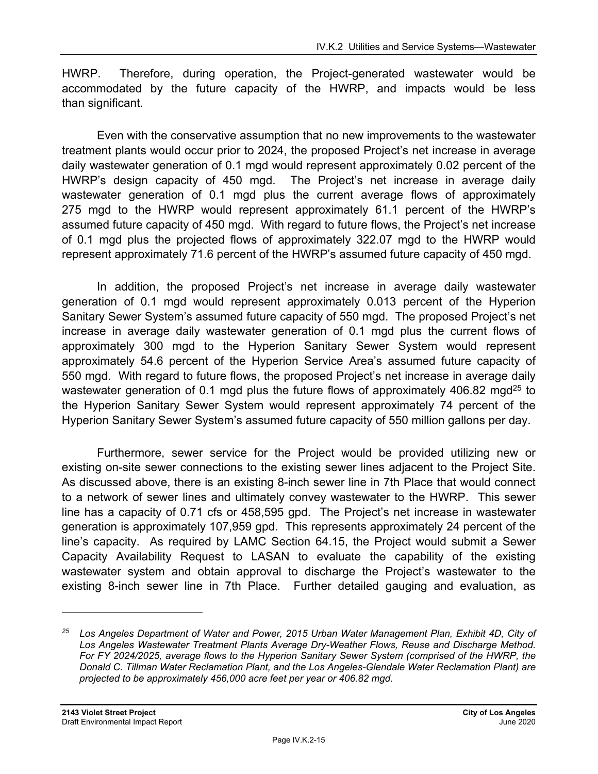HWRP. Therefore, during operation, the Project-generated wastewater would be accommodated by the future capacity of the HWRP, and impacts would be less than significant.

Even with the conservative assumption that no new improvements to the wastewater treatment plants would occur prior to 2024, the proposed Project's net increase in average daily wastewater generation of 0.1 mgd would represent approximately 0.02 percent of the HWRP's design capacity of 450 mgd. The Project's net increase in average daily wastewater generation of 0.1 mgd plus the current average flows of approximately 275 mgd to the HWRP would represent approximately 61.1 percent of the HWRP's assumed future capacity of 450 mgd. With regard to future flows, the Project's net increase of 0.1 mgd plus the projected flows of approximately 322.07 mgd to the HWRP would represent approximately 71.6 percent of the HWRP's assumed future capacity of 450 mgd.

In addition, the proposed Project's net increase in average daily wastewater generation of 0.1 mgd would represent approximately 0.013 percent of the Hyperion Sanitary Sewer System's assumed future capacity of 550 mgd. The proposed Project's net increase in average daily wastewater generation of 0.1 mgd plus the current flows of approximately 300 mgd to the Hyperion Sanitary Sewer System would represent approximately 54.6 percent of the Hyperion Service Area's assumed future capacity of 550 mgd. With regard to future flows, the proposed Project's net increase in average daily wastewater generation of 0.1 mgd plus the future flows of approximately 406.82 mgd<sup>25</sup> to the Hyperion Sanitary Sewer System would represent approximately 74 percent of the Hyperion Sanitary Sewer System's assumed future capacity of 550 million gallons per day.

Furthermore, sewer service for the Project would be provided utilizing new or existing on-site sewer connections to the existing sewer lines adjacent to the Project Site. As discussed above, there is an existing 8-inch sewer line in 7th Place that would connect to a network of sewer lines and ultimately convey wastewater to the HWRP. This sewer line has a capacity of 0.71 cfs or 458,595 gpd. The Project's net increase in wastewater generation is approximately 107,959 gpd. This represents approximately 24 percent of the line's capacity. As required by LAMC Section 64.15, the Project would submit a Sewer Capacity Availability Request to LASAN to evaluate the capability of the existing wastewater system and obtain approval to discharge the Project's wastewater to the existing 8-inch sewer line in 7th Place. Further detailed gauging and evaluation, as

*<sup>25</sup> Los Angeles Department of Water and Power, 2015 Urban Water Management Plan, Exhibit 4D, City of Los Angeles Wastewater Treatment Plants Average Dry-Weather Flows, Reuse and Discharge Method. For FY 2024/2025, average flows to the Hyperion Sanitary Sewer System (comprised of the HWRP, the Donald C. Tillman Water Reclamation Plant, and the Los Angeles-Glendale Water Reclamation Plant) are projected to be approximately 456,000 acre feet per year or 406.82 mgd.*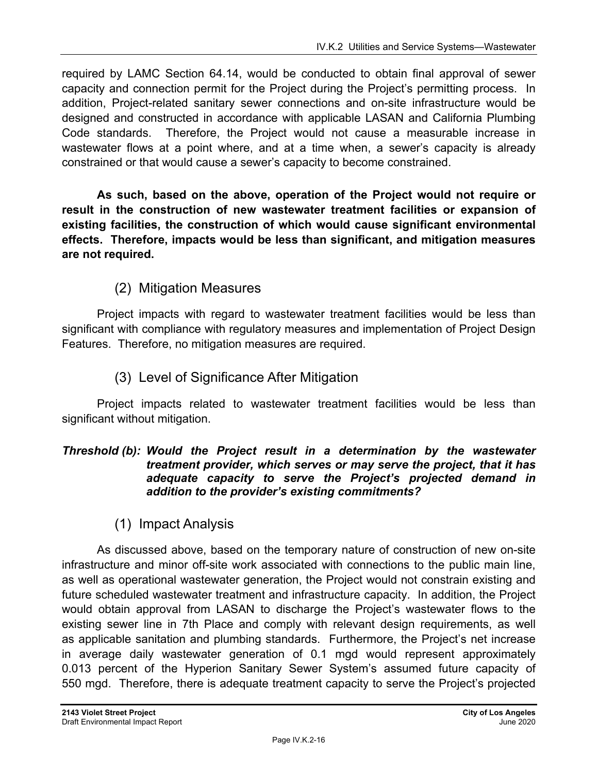required by LAMC Section 64.14, would be conducted to obtain final approval of sewer capacity and connection permit for the Project during the Project's permitting process. In addition, Project-related sanitary sewer connections and on-site infrastructure would be designed and constructed in accordance with applicable LASAN and California Plumbing Code standards. Therefore, the Project would not cause a measurable increase in wastewater flows at a point where, and at a time when, a sewer's capacity is already constrained or that would cause a sewer's capacity to become constrained.

**As such, based on the above, operation of the Project would not require or result in the construction of new wastewater treatment facilities or expansion of existing facilities, the construction of which would cause significant environmental effects. Therefore, impacts would be less than significant, and mitigation measures are not required.**

## (2) Mitigation Measures

Project impacts with regard to wastewater treatment facilities would be less than significant with compliance with regulatory measures and implementation of Project Design Features. Therefore, no mitigation measures are required.

## (3) Level of Significance After Mitigation

Project impacts related to wastewater treatment facilities would be less than significant without mitigation.

#### *Threshold (b): Would the Project result in a determination by the wastewater treatment provider, which serves or may serve the project, that it has adequate capacity to serve the Project's projected demand in addition to the provider's existing commitments?*

(1) Impact Analysis

As discussed above, based on the temporary nature of construction of new on-site infrastructure and minor off-site work associated with connections to the public main line, as well as operational wastewater generation, the Project would not constrain existing and future scheduled wastewater treatment and infrastructure capacity. In addition, the Project would obtain approval from LASAN to discharge the Project's wastewater flows to the existing sewer line in 7th Place and comply with relevant design requirements, as well as applicable sanitation and plumbing standards. Furthermore, the Project's net increase in average daily wastewater generation of 0.1 mgd would represent approximately 0.013 percent of the Hyperion Sanitary Sewer System's assumed future capacity of 550 mgd. Therefore, there is adequate treatment capacity to serve the Project's projected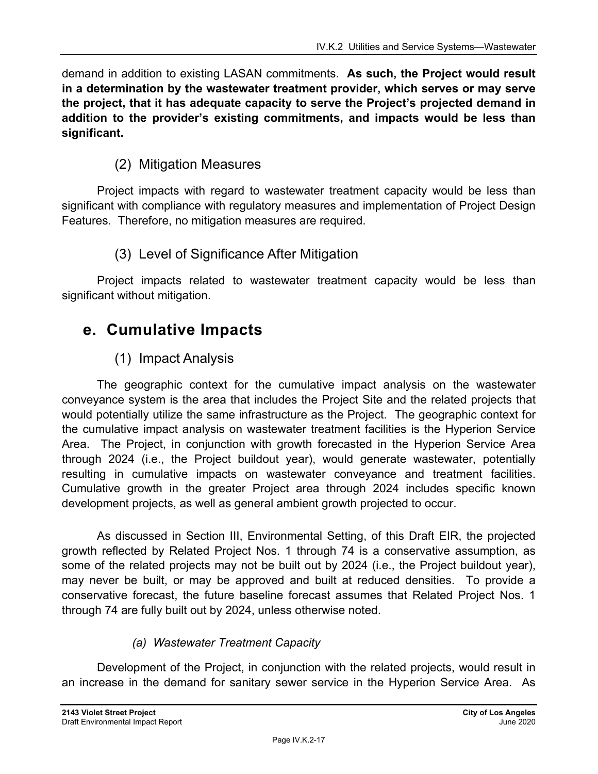demand in addition to existing LASAN commitments. **As such, the Project would result in a determination by the wastewater treatment provider, which serves or may serve the project, that it has adequate capacity to serve the Project's projected demand in addition to the provider's existing commitments, and impacts would be less than significant.** 

## (2) Mitigation Measures

Project impacts with regard to wastewater treatment capacity would be less than significant with compliance with regulatory measures and implementation of Project Design Features. Therefore, no mitigation measures are required.

## (3) Level of Significance After Mitigation

Project impacts related to wastewater treatment capacity would be less than significant without mitigation.

# **e. Cumulative Impacts**

## (1) Impact Analysis

The geographic context for the cumulative impact analysis on the wastewater conveyance system is the area that includes the Project Site and the related projects that would potentially utilize the same infrastructure as the Project. The geographic context for the cumulative impact analysis on wastewater treatment facilities is the Hyperion Service Area. The Project, in conjunction with growth forecasted in the Hyperion Service Area through 2024 (i.e., the Project buildout year), would generate wastewater, potentially resulting in cumulative impacts on wastewater conveyance and treatment facilities. Cumulative growth in the greater Project area through 2024 includes specific known development projects, as well as general ambient growth projected to occur.

As discussed in Section III, Environmental Setting, of this Draft EIR, the projected growth reflected by Related Project Nos. 1 through 74 is a conservative assumption, as some of the related projects may not be built out by 2024 (i.e., the Project buildout year), may never be built, or may be approved and built at reduced densities. To provide a conservative forecast, the future baseline forecast assumes that Related Project Nos. 1 through 74 are fully built out by 2024, unless otherwise noted.

## *(a) Wastewater Treatment Capacity*

Development of the Project, in conjunction with the related projects, would result in an increase in the demand for sanitary sewer service in the Hyperion Service Area. As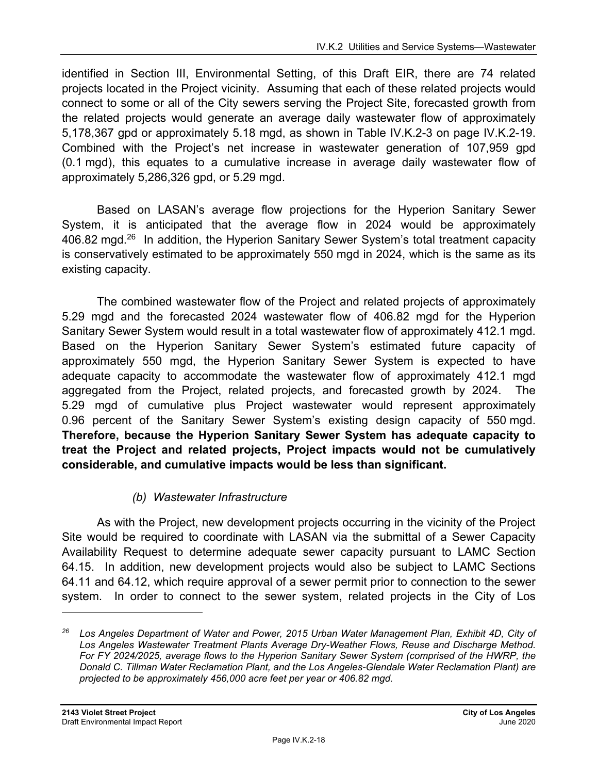identified in Section III, Environmental Setting, of this Draft EIR, there are 74 related projects located in the Project vicinity. Assuming that each of these related projects would connect to some or all of the City sewers serving the Project Site, forecasted growth from the related projects would generate an average daily wastewater flow of approximately 5,178,367 gpd or approximately 5.18 mgd, as shown in Table IV.K.2-3 on page IV.K.2-19. Combined with the Project's net increase in wastewater generation of 107,959 gpd (0.1 mgd), this equates to a cumulative increase in average daily wastewater flow of approximately 5,286,326 gpd, or 5.29 mgd.

Based on LASAN's average flow projections for the Hyperion Sanitary Sewer System, it is anticipated that the average flow in 2024 would be approximately 406.82 mgd.<sup>26</sup> In addition, the Hyperion Sanitary Sewer System's total treatment capacity is conservatively estimated to be approximately 550 mgd in 2024, which is the same as its existing capacity.

The combined wastewater flow of the Project and related projects of approximately 5.29 mgd and the forecasted 2024 wastewater flow of 406.82 mgd for the Hyperion Sanitary Sewer System would result in a total wastewater flow of approximately 412.1 mgd. Based on the Hyperion Sanitary Sewer System's estimated future capacity of approximately 550 mgd, the Hyperion Sanitary Sewer System is expected to have adequate capacity to accommodate the wastewater flow of approximately 412.1 mgd aggregated from the Project, related projects, and forecasted growth by 2024. The 5.29 mgd of cumulative plus Project wastewater would represent approximately 0.96 percent of the Sanitary Sewer System's existing design capacity of 550 mgd. **Therefore, because the Hyperion Sanitary Sewer System has adequate capacity to treat the Project and related projects, Project impacts would not be cumulatively considerable, and cumulative impacts would be less than significant.** 

## *(b) Wastewater Infrastructure*

As with the Project, new development projects occurring in the vicinity of the Project Site would be required to coordinate with LASAN via the submittal of a Sewer Capacity Availability Request to determine adequate sewer capacity pursuant to LAMC Section 64.15. In addition, new development projects would also be subject to LAMC Sections 64.11 and 64.12, which require approval of a sewer permit prior to connection to the sewer system. In order to connect to the sewer system, related projects in the City of Los

*<sup>26</sup> Los Angeles Department of Water and Power, 2015 Urban Water Management Plan, Exhibit 4D, City of Los Angeles Wastewater Treatment Plants Average Dry-Weather Flows, Reuse and Discharge Method. For FY 2024/2025, average flows to the Hyperion Sanitary Sewer System (comprised of the HWRP, the Donald C. Tillman Water Reclamation Plant, and the Los Angeles-Glendale Water Reclamation Plant) are projected to be approximately 456,000 acre feet per year or 406.82 mgd.*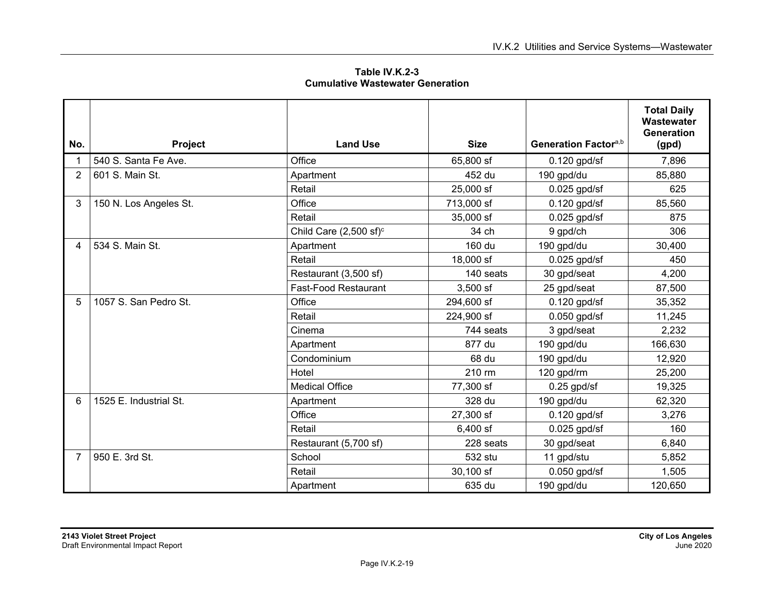**Table IV.K.2-3 Cumulative Wastewater Generation** 

| No.            |                        | <b>Land Use</b>                   | <b>Size</b> | Generation Factor <sup>a,b</sup> | <b>Total Daily</b><br>Wastewater<br><b>Generation</b> |
|----------------|------------------------|-----------------------------------|-------------|----------------------------------|-------------------------------------------------------|
|                | Project                |                                   |             |                                  | (gpd)                                                 |
|                | 540 S. Santa Fe Ave.   | Office                            | 65,800 sf   | $0.120$ gpd/sf                   | 7,896                                                 |
| 2              | 601 S. Main St.        | Apartment                         | 452 du      | 190 gpd/du                       | 85,880                                                |
|                |                        | Retail                            | 25,000 sf   | $0.025$ gpd/sf                   | 625                                                   |
| 3              | 150 N. Los Angeles St. | Office                            | 713,000 sf  | $0.120$ gpd/sf                   | 85,560                                                |
|                |                        | Retail                            | 35,000 sf   | $0.025$ gpd/sf                   | 875                                                   |
|                |                        | Child Care $(2,500 \text{ sf})^c$ | 34 ch       | 9 gpd/ch                         | 306                                                   |
| 4              | 534 S. Main St.        | Apartment                         | 160 du      | 190 gpd/du                       | 30,400                                                |
|                |                        | Retail                            | 18,000 sf   | $0.025$ gpd/sf                   | 450                                                   |
|                |                        | Restaurant (3,500 sf)             | 140 seats   | 30 gpd/seat                      | 4,200                                                 |
|                |                        | <b>Fast-Food Restaurant</b>       | $3,500$ sf  | 25 gpd/seat                      | 87,500                                                |
| 5              | 1057 S. San Pedro St.  | Office                            | 294,600 sf  | $0.120$ gpd/sf                   | 35,352                                                |
|                |                        | Retail                            | 224,900 sf  | $0.050$ gpd/sf                   | 11,245                                                |
|                |                        | Cinema                            | 744 seats   | 3 gpd/seat                       | 2,232                                                 |
|                |                        | Apartment                         | 877 du      | 190 gpd/du                       | 166,630                                               |
|                |                        | Condominium                       | 68 du       | 190 gpd/du                       | 12,920                                                |
|                |                        | Hotel                             | 210 rm      | 120 gpd/rm                       | 25,200                                                |
|                |                        | <b>Medical Office</b>             | 77,300 sf   | $0.25$ gpd/sf                    | 19,325                                                |
| 6              | 1525 E. Industrial St. | Apartment                         | 328 du      | 190 gpd/du                       | 62,320                                                |
|                |                        | Office                            | 27,300 sf   | $0.120$ gpd/sf                   | 3,276                                                 |
|                |                        | Retail                            | $6,400$ sf  | $0.025$ gpd/sf                   | 160                                                   |
|                |                        | Restaurant (5,700 sf)             | 228 seats   | 30 gpd/seat                      | 6,840                                                 |
| $\overline{7}$ | 950 E. 3rd St.         | School                            | 532 stu     | 11 gpd/stu                       | 5,852                                                 |
|                |                        | Retail                            | 30,100 sf   | $0.050$ gpd/sf                   | 1,505                                                 |
|                |                        | Apartment                         | 635 du      | 190 gpd/du                       | 120,650                                               |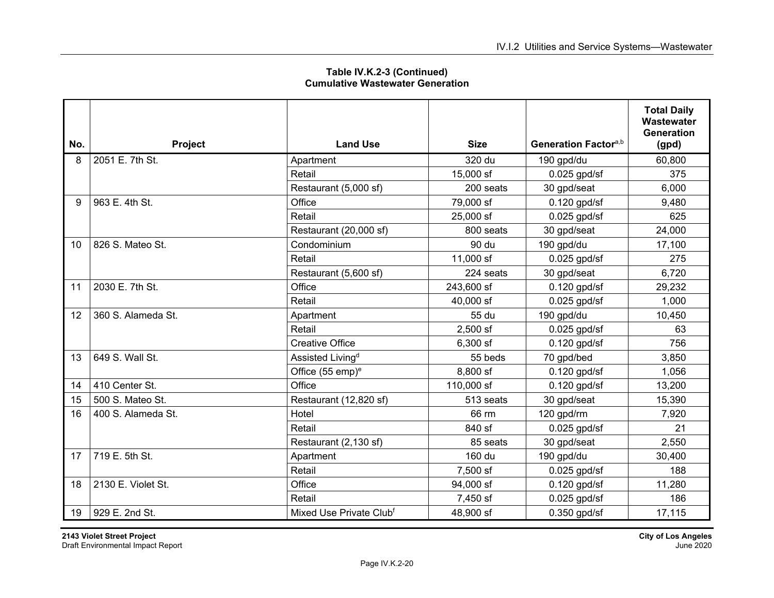| No. | Project            | <b>Land Use</b>                     | <b>Size</b> | Generation Factor <sup>a,b</sup> | <b>Total Daily</b><br>Wastewater<br><b>Generation</b><br>(gpd) |
|-----|--------------------|-------------------------------------|-------------|----------------------------------|----------------------------------------------------------------|
| 8   | 2051 E. 7th St.    | Apartment                           | 320 du      | 190 gpd/du                       | 60,800                                                         |
|     |                    | Retail                              | 15,000 sf   | $0.025$ gpd/sf                   | 375                                                            |
|     |                    | Restaurant (5,000 sf)               | 200 seats   | 30 gpd/seat                      | 6,000                                                          |
| 9   | 963 E. 4th St.     | Office                              | 79,000 sf   | $0.120$ gpd/sf                   | 9,480                                                          |
|     |                    | Retail                              | 25,000 sf   | $0.025$ gpd/sf                   | 625                                                            |
|     |                    | Restaurant (20,000 sf)              | 800 seats   | 30 gpd/seat                      | 24,000                                                         |
| 10  | 826 S. Mateo St.   | Condominium                         | 90 du       | 190 gpd/du                       | 17,100                                                         |
|     |                    | Retail                              | 11,000 sf   | $0.025$ gpd/sf                   | 275                                                            |
|     |                    | Restaurant (5,600 sf)               | 224 seats   | 30 gpd/seat                      | 6,720                                                          |
| 11  | 2030 E. 7th St.    | Office                              | 243,600 sf  | $0.120$ gpd/sf                   | 29,232                                                         |
|     |                    | Retail                              | 40,000 sf   | $0.025$ gpd/sf                   | 1,000                                                          |
| 12  | 360 S. Alameda St. | Apartment                           | 55 du       | 190 gpd/du                       | 10,450                                                         |
|     |                    | Retail                              | $2,500$ sf  | 0.025 gpd/sf                     | 63                                                             |
|     |                    | <b>Creative Office</b>              | 6,300 sf    | $0.120$ gpd/sf                   | 756                                                            |
| 13  | 649 S. Wall St.    | Assisted Living <sup>d</sup>        | 55 beds     | 70 gpd/bed                       | 3,850                                                          |
|     |                    | Office (55 emp) <sup>e</sup>        | 8,800 sf    | $0.120$ gpd/sf                   | 1,056                                                          |
| 14  | 410 Center St.     | Office                              | 110,000 sf  | $0.120$ gpd/sf                   | 13,200                                                         |
| 15  | 500 S. Mateo St.   | Restaurant (12,820 sf)              | 513 seats   | 30 gpd/seat                      | 15,390                                                         |
| 16  | 400 S. Alameda St. | Hotel                               | 66 rm       | 120 gpd/rm                       | 7,920                                                          |
|     |                    | Retail                              | 840 sf      | $0.025$ gpd/sf                   | 21                                                             |
|     |                    | Restaurant (2,130 sf)               | 85 seats    | 30 gpd/seat                      | 2,550                                                          |
| 17  | 719 E. 5th St.     | Apartment                           | 160 du      | 190 gpd/du                       | 30,400                                                         |
|     |                    | Retail                              | 7,500 sf    | $0.025$ gpd/sf                   | 188                                                            |
| 18  | 2130 E. Violet St. | Office                              | 94,000 sf   | 0.120 gpd/sf                     | 11,280                                                         |
|     |                    | Retail                              | 7,450 sf    | $0.025$ gpd/sf                   | 186                                                            |
| 19  | 929 E. 2nd St.     | Mixed Use Private Club <sup>f</sup> | 48,900 sf   | $0.350$ gpd/sf                   | 17,115                                                         |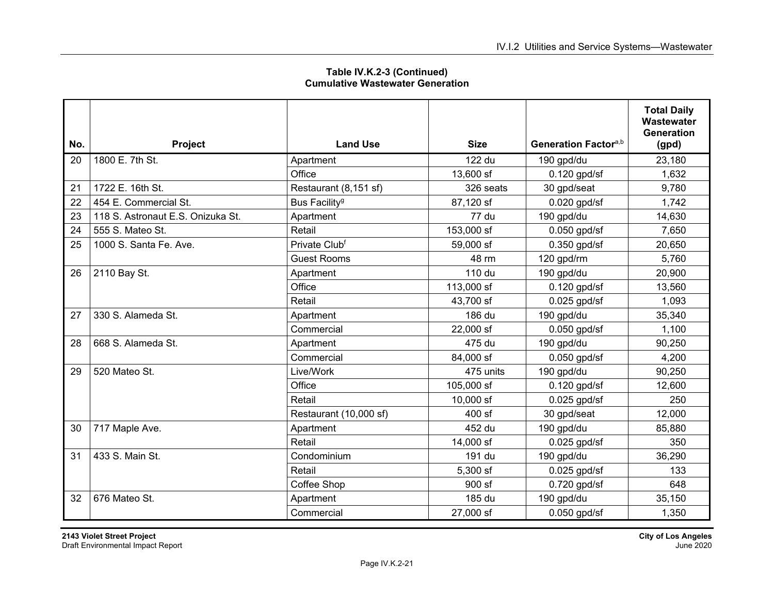| Table IV.K.2-3 (Continued)              |  |  |
|-----------------------------------------|--|--|
| <b>Cumulative Wastewater Generation</b> |  |  |

| No. | Project                           | <b>Land Use</b>           | <b>Size</b> | Generation Factor <sup>a,b</sup> | <b>Total Daily</b><br>Wastewater<br><b>Generation</b><br>(gpd) |
|-----|-----------------------------------|---------------------------|-------------|----------------------------------|----------------------------------------------------------------|
| 20  | 1800 E. 7th St.                   | Apartment                 | 122 du      | 190 gpd/du                       | 23,180                                                         |
|     |                                   | Office                    | 13,600 sf   | $0.120$ gpd/sf                   | 1,632                                                          |
| 21  | 1722 E. 16th St.                  | Restaurant (8,151 sf)     | 326 seats   | 30 gpd/seat                      | 9,780                                                          |
| 22  | 454 E. Commercial St.             | Bus Facility <sup>g</sup> | 87,120 sf   | $0.020$ gpd/sf                   | 1,742                                                          |
| 23  | 118 S. Astronaut E.S. Onizuka St. | Apartment                 | 77 du       | 190 gpd/du                       | 14,630                                                         |
| 24  | 555 S. Mateo St.                  | Retail                    | 153,000 sf  | $0.050$ gpd/sf                   | 7,650                                                          |
| 25  | 1000 S. Santa Fe. Ave.            | Private Clubf             | 59,000 sf   | $0.350$ gpd/sf                   | 20,650                                                         |
|     |                                   | <b>Guest Rooms</b>        | 48 rm       | 120 gpd/rm                       | 5,760                                                          |
| 26  | 2110 Bay St.                      | Apartment                 | 110 du      | 190 gpd/du                       | 20,900                                                         |
|     |                                   | Office                    | 113,000 sf  | $0.120$ gpd/sf                   | 13,560                                                         |
|     |                                   | Retail                    | 43,700 sf   | $0.025$ gpd/sf                   | 1,093                                                          |
| 27  | 330 S. Alameda St.                | Apartment                 | 186 du      | 190 gpd/du                       | 35,340                                                         |
|     |                                   | Commercial                | 22,000 sf   | $0.050$ gpd/sf                   | 1,100                                                          |
| 28  | 668 S. Alameda St.                | Apartment                 | 475 du      | 190 gpd/du                       | 90,250                                                         |
|     |                                   | Commercial                | 84,000 sf   | $0.050$ gpd/sf                   | 4,200                                                          |
| 29  | 520 Mateo St.                     | Live/Work                 | 475 units   | 190 gpd/du                       | 90,250                                                         |
|     |                                   | Office                    | 105,000 sf  | $0.120$ gpd/sf                   | 12,600                                                         |
|     |                                   | Retail                    | $10,000$ sf | $0.025$ gpd/sf                   | 250                                                            |
|     |                                   | Restaurant (10,000 sf)    | 400 sf      | 30 gpd/seat                      | 12,000                                                         |
| 30  | 717 Maple Ave.                    | Apartment                 | 452 du      | 190 gpd/du                       | 85,880                                                         |
|     |                                   | Retail                    | 14,000 sf   | $0.025$ gpd/sf                   | 350                                                            |
| 31  | 433 S. Main St.                   | Condominium               | 191 du      | 190 gpd/du                       | 36,290                                                         |
|     |                                   | Retail                    | 5,300 sf    | $0.025$ gpd/sf                   | 133                                                            |
|     |                                   | Coffee Shop               | 900 sf      | $0.720$ gpd/sf                   | 648                                                            |
| 32  | 676 Mateo St.                     | Apartment                 | 185 du      | 190 gpd/du                       | 35,150                                                         |
|     |                                   | Commercial                | 27,000 sf   | $0.050$ gpd/sf                   | 1,350                                                          |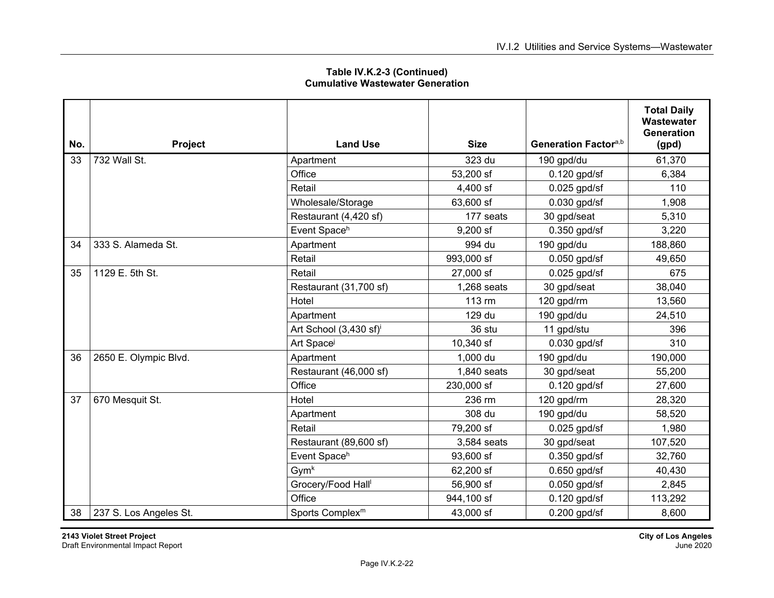| No. | Project                | <b>Land Use</b>                    | <b>Size</b> | Generation Factor <sup>a,b</sup> | <b>Total Daily</b><br>Wastewater<br><b>Generation</b><br>(gpd) |
|-----|------------------------|------------------------------------|-------------|----------------------------------|----------------------------------------------------------------|
| 33  | 732 Wall St.           | Apartment                          | 323 du      | 190 gpd/du                       | 61,370                                                         |
|     |                        | Office                             | 53,200 sf   | $0.120$ gpd/sf                   | 6,384                                                          |
|     |                        | Retail                             | 4,400 sf    | $0.025$ gpd/sf                   | 110                                                            |
|     |                        | Wholesale/Storage                  | 63,600 sf   | $0.030$ gpd/sf                   | 1,908                                                          |
|     |                        | Restaurant (4,420 sf)              | 177 seats   | 30 gpd/seat                      | 5,310                                                          |
|     |                        | Event Spaceh                       | $9,200$ sf  | $0.350$ gpd/sf                   | 3,220                                                          |
| 34  | 333 S. Alameda St.     | Apartment                          | 994 du      | 190 gpd/du                       | 188,860                                                        |
|     |                        | Retail                             | 993,000 sf  | $0.050$ gpd/sf                   | 49,650                                                         |
| 35  | 1129 E. 5th St.        | Retail                             | 27,000 sf   | $0.025$ gpd/sf                   | 675                                                            |
|     |                        | Restaurant (31,700 sf)             | 1,268 seats | 30 gpd/seat                      | 38,040                                                         |
|     |                        | Hotel                              | 113 rm      | 120 gpd/rm                       | 13,560                                                         |
|     |                        | Apartment                          | 129 du      | 190 gpd/du                       | 24,510                                                         |
|     |                        | Art School (3,430 sf) <sup>i</sup> | 36 stu      | 11 gpd/stu                       | 396                                                            |
|     |                        | Art Space                          | 10,340 sf   | $0.030$ gpd/sf                   | 310                                                            |
| 36  | 2650 E. Olympic Blvd.  | Apartment                          | 1,000 du    | 190 gpd/du                       | 190,000                                                        |
|     |                        | Restaurant (46,000 sf)             | 1,840 seats | 30 gpd/seat                      | 55,200                                                         |
|     |                        | Office                             | 230,000 sf  | $0.120$ gpd/sf                   | 27,600                                                         |
| 37  | 670 Mesquit St.        | Hotel                              | 236 rm      | 120 gpd/rm                       | 28,320                                                         |
|     |                        | Apartment                          | 308 du      | 190 gpd/du                       | 58,520                                                         |
|     |                        | Retail                             | 79,200 sf   | $0.025$ gpd/sf                   | 1,980                                                          |
|     |                        | Restaurant (89,600 sf)             | 3,584 seats | 30 gpd/seat                      | 107,520                                                        |
|     |                        | Event Space <sup>h</sup>           | 93,600 sf   | $0.350$ gpd/sf                   | 32,760                                                         |
|     |                        | Gym <sup>k</sup>                   | 62,200 sf   | 0.650 gpd/sf                     | 40,430                                                         |
|     |                        | Grocery/Food Hall                  | 56,900 sf   | $0.050$ gpd/sf                   | 2,845                                                          |
|     |                        | Office                             | 944,100 sf  | $0.120$ gpd/sf                   | 113,292                                                        |
| 38  | 237 S. Los Angeles St. | Sports Complex <sup>m</sup>        | 43,000 sf   | $0.200$ gpd/sf                   | 8,600                                                          |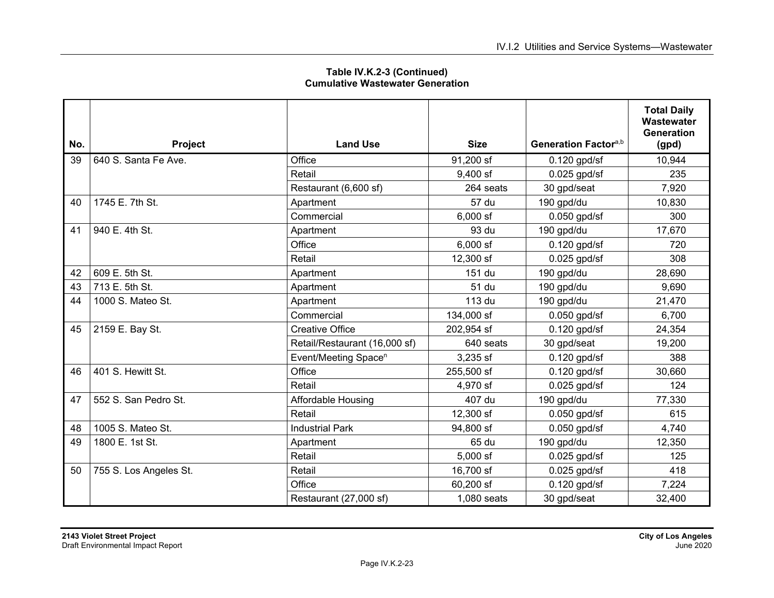|     |                        |                                  |             |                                  | <b>Total Daily</b><br>Wastewater<br><b>Generation</b> |
|-----|------------------------|----------------------------------|-------------|----------------------------------|-------------------------------------------------------|
| No. | Project                | <b>Land Use</b>                  | <b>Size</b> | Generation Factor <sup>a,b</sup> | (gpd)                                                 |
| 39  | 640 S. Santa Fe Ave.   | Office                           | 91,200 sf   | $0.120$ gpd/sf                   | 10,944                                                |
|     |                        | Retail                           | $9,400$ sf  | $0.025$ gpd/sf                   | 235                                                   |
|     |                        | Restaurant (6,600 sf)            | 264 seats   | 30 gpd/seat                      | 7,920                                                 |
| 40  | 1745 E. 7th St.        | Apartment                        | 57 du       | 190 gpd/du                       | 10,830                                                |
|     |                        | Commercial                       | $6,000$ sf  | $0.050$ gpd/sf                   | 300                                                   |
| 41  | 940 E. 4th St.         | Apartment                        | 93 du       | 190 gpd/du                       | 17,670                                                |
|     |                        | Office                           | $6,000$ sf  | $0.120$ gpd/sf                   | 720                                                   |
|     |                        | Retail                           | 12,300 sf   | $0.025$ gpd/sf                   | 308                                                   |
| 42  | 609 E. 5th St.         | Apartment                        | 151 du      | 190 gpd/du                       | 28,690                                                |
| 43  | 713 E. 5th St.         | Apartment                        | 51 du       | 190 gpd/du                       | 9,690                                                 |
| 44  | 1000 S. Mateo St.      | Apartment                        | 113 du      | 190 gpd/du                       | 21,470                                                |
|     |                        | Commercial                       | 134,000 sf  | $0.050$ gpd/sf                   | 6,700                                                 |
| 45  | 2159 E. Bay St.        | <b>Creative Office</b>           | 202,954 sf  | $0.120$ gpd/sf                   | 24,354                                                |
|     |                        | Retail/Restaurant (16,000 sf)    | 640 seats   | 30 gpd/seat                      | 19,200                                                |
|     |                        | Event/Meeting Space <sup>n</sup> | 3,235 sf    | $0.120$ gpd/sf                   | 388                                                   |
| 46  | 401 S. Hewitt St.      | Office                           | 255,500 sf  | $0.120$ gpd/sf                   | 30,660                                                |
|     |                        | Retail                           | 4,970 sf    | $0.025$ gpd/sf                   | 124                                                   |
| 47  | 552 S. San Pedro St.   | Affordable Housing               | 407 du      | 190 gpd/du                       | 77,330                                                |
|     |                        | Retail                           | 12,300 sf   | $0.050$ gpd/sf                   | 615                                                   |
| 48  | 1005 S. Mateo St.      | <b>Industrial Park</b>           | 94,800 sf   | $0.050$ gpd/sf                   | 4,740                                                 |
| 49  | 1800 E. 1st St.        | Apartment                        | 65 du       | 190 gpd/du                       | 12,350                                                |
|     |                        | Retail                           | $5,000$ sf  | $0.025$ gpd/sf                   | 125                                                   |
| 50  | 755 S. Los Angeles St. | Retail                           | 16,700 sf   | $0.025$ gpd/sf                   | 418                                                   |
|     |                        | Office                           | 60,200 sf   | $0.120$ gpd/sf                   | 7,224                                                 |
|     |                        | Restaurant (27,000 sf)           | 1,080 seats | 30 gpd/seat                      | 32,400                                                |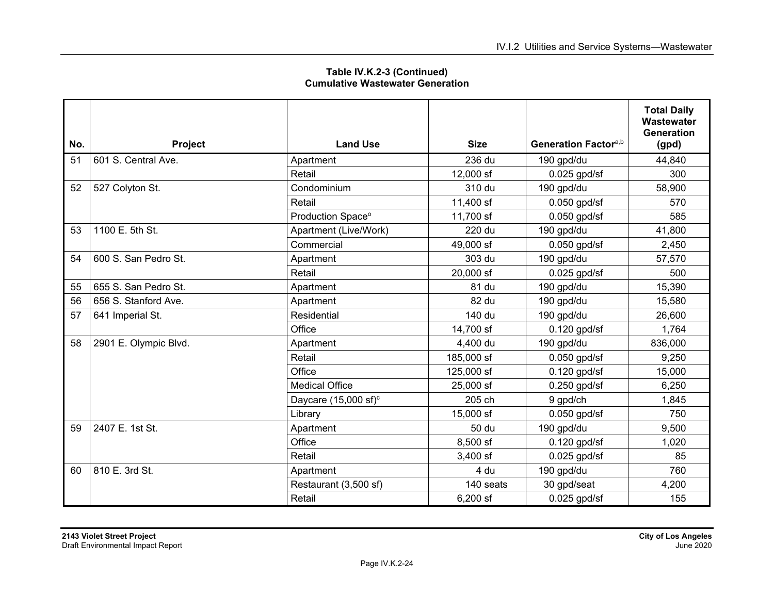| Table IV.K.2-3 (Continued)              |  |  |
|-----------------------------------------|--|--|
| <b>Cumulative Wastewater Generation</b> |  |  |

| No. | Project               | <b>Land Use</b>                 | <b>Size</b> | Generation Factor <sup>a,b</sup> | <b>Total Daily</b><br>Wastewater<br><b>Generation</b><br>(gpd) |
|-----|-----------------------|---------------------------------|-------------|----------------------------------|----------------------------------------------------------------|
| 51  | 601 S. Central Ave.   | Apartment                       | 236 du      | 190 gpd/du                       | 44,840                                                         |
|     |                       | Retail                          | 12,000 sf   |                                  | 300                                                            |
|     |                       |                                 |             | $0.025$ gpd/sf                   |                                                                |
| 52  | 527 Colyton St.       | Condominium                     | 310 du      | 190 gpd/du                       | 58,900                                                         |
|     |                       | Retail                          | 11,400 sf   | $0.050$ gpd/sf                   | 570                                                            |
|     |                       | Production Space <sup>o</sup>   | 11,700 sf   | $0.050$ gpd/sf                   | 585                                                            |
| 53  | 1100 E. 5th St.       | Apartment (Live/Work)           | 220 du      | 190 gpd/du                       | 41,800                                                         |
|     |                       | Commercial                      | 49,000 sf   | $0.050$ gpd/sf                   | 2,450                                                          |
| 54  | 600 S. San Pedro St.  | Apartment                       | 303 du      | 190 gpd/du                       | 57,570                                                         |
|     |                       | Retail                          | 20,000 sf   | $0.025$ gpd/sf                   | 500                                                            |
| 55  | 655 S. San Pedro St.  | Apartment                       | 81 du       | 190 gpd/du                       | 15,390                                                         |
| 56  | 656 S. Stanford Ave.  | Apartment                       | 82 du       | 190 gpd/du                       | 15,580                                                         |
| 57  | 641 Imperial St.      | Residential                     | 140 du      | 190 gpd/du                       | 26,600                                                         |
|     |                       | Office                          | 14,700 sf   | $0.120$ gpd/sf                   | 1,764                                                          |
| 58  | 2901 E. Olympic Blvd. | Apartment                       | 4,400 du    | 190 gpd/du                       | 836,000                                                        |
|     |                       | Retail                          | 185,000 sf  | $0.050$ gpd/sf                   | 9,250                                                          |
|     |                       | Office                          | 125,000 sf  | $0.120$ gpd/sf                   | 15,000                                                         |
|     |                       | <b>Medical Office</b>           | 25,000 sf   | $0.250$ gpd/sf                   | 6,250                                                          |
|     |                       | Daycare $(15,000 \text{ sf})^c$ | 205 ch      | 9 gpd/ch                         | 1,845                                                          |
|     |                       | Library                         | 15,000 sf   | $0.050$ gpd/sf                   | 750                                                            |
| 59  | 2407 E. 1st St.       | Apartment                       | 50 du       | 190 gpd/du                       | 9,500                                                          |
|     |                       | Office                          | 8,500 sf    | $0.120$ gpd/sf                   | 1,020                                                          |
|     |                       | Retail                          | $3,400$ sf  | $0.025$ gpd/sf                   | 85                                                             |
| 60  | 810 E. 3rd St.        | Apartment                       | 4 du        | 190 gpd/du                       | 760                                                            |
|     |                       | Restaurant (3,500 sf)           | 140 seats   | 30 gpd/seat                      | 4,200                                                          |
|     |                       | Retail                          | 6,200 sf    | $0.025$ gpd/sf                   | 155                                                            |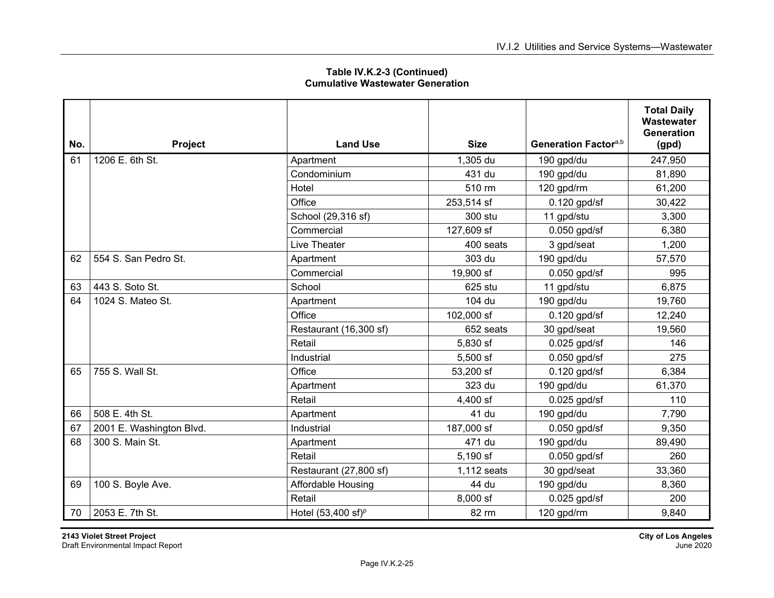|     |                          |                               |             |                                  | <b>Total Daily</b><br>Wastewater<br><b>Generation</b> |
|-----|--------------------------|-------------------------------|-------------|----------------------------------|-------------------------------------------------------|
| No. | Project                  | <b>Land Use</b>               | <b>Size</b> | Generation Factor <sup>a,b</sup> | (gpd)                                                 |
| 61  | 1206 E. 6th St.          | Apartment                     | 1,305 du    | 190 gpd/du                       | 247,950                                               |
|     |                          | Condominium                   | 431 du      | 190 gpd/du                       | 81,890                                                |
|     |                          | Hotel                         | 510 rm      | 120 gpd/rm                       | 61,200                                                |
|     |                          | Office                        | 253,514 sf  | $0.120$ gpd/sf                   | 30,422                                                |
|     |                          | School (29,316 sf)            | 300 stu     | 11 gpd/stu                       | 3,300                                                 |
|     |                          | Commercial                    | 127,609 sf  | $0.050$ gpd/sf                   | 6,380                                                 |
|     |                          | Live Theater                  | 400 seats   | 3 gpd/seat                       | 1,200                                                 |
| 62  | 554 S. San Pedro St.     | Apartment                     | 303 du      | 190 gpd/du                       | 57,570                                                |
|     |                          | Commercial                    | 19,900 sf   | $0.050$ gpd/sf                   | 995                                                   |
| 63  | 443 S. Soto St.          | School                        | 625 stu     | 11 gpd/stu                       | 6,875                                                 |
| 64  | 1024 S. Mateo St.        | Apartment                     | 104 du      | 190 gpd/du                       | 19,760                                                |
|     |                          | Office                        | 102,000 sf  | $0.120$ gpd/sf                   | 12,240                                                |
|     |                          | Restaurant (16,300 sf)        | 652 seats   | 30 gpd/seat                      | 19,560                                                |
|     |                          | Retail                        | 5,830 sf    | $0.025$ gpd/sf                   | 146                                                   |
|     |                          | Industrial                    | 5,500 sf    | $0.050$ gpd/sf                   | 275                                                   |
| 65  | 755 S. Wall St.          | Office                        | 53,200 sf   | $0.120$ gpd/sf                   | 6,384                                                 |
|     |                          | Apartment                     | 323 du      | 190 gpd/du                       | 61,370                                                |
|     |                          | Retail                        | 4,400 sf    | $0.025$ gpd/sf                   | 110                                                   |
| 66  | 508 E. 4th St.           | Apartment                     | 41 du       | 190 gpd/du                       | 7,790                                                 |
| 67  | 2001 E. Washington Blvd. | Industrial                    | 187,000 sf  | $0.050$ gpd/sf                   | 9,350                                                 |
| 68  | 300 S. Main St.          | Apartment                     | 471 du      | 190 gpd/du                       | 89,490                                                |
|     |                          | Retail                        | 5,190 sf    | $0.050$ gpd/sf                   | 260                                                   |
|     |                          | Restaurant (27,800 sf)        | 1,112 seats | 30 gpd/seat                      | 33,360                                                |
| 69  | 100 S. Boyle Ave.        | Affordable Housing            | 44 du       | 190 gpd/du                       | 8,360                                                 |
|     |                          | Retail                        | 8,000 sf    | $0.025$ gpd/sf                   | 200                                                   |
| 70  | 2053 E. 7th St.          | Hotel $(53,400 \text{ sf})^p$ | 82 rm       | 120 gpd/rm                       | 9,840                                                 |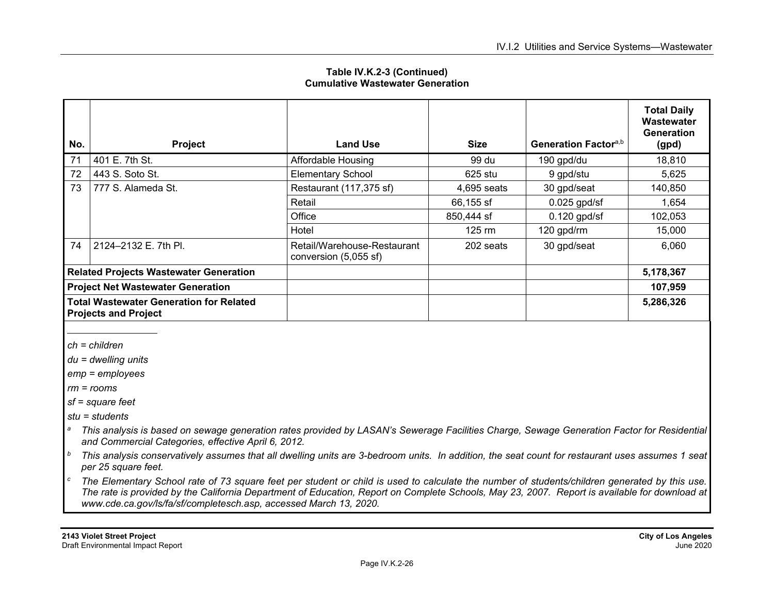| No.                                                                           | Project              | <b>Land Use</b>                                      | <b>Size</b>      | Generation Factor <sup>a,b</sup> | <b>Total Daily</b><br>Wastewater<br><b>Generation</b><br>(gpd) |
|-------------------------------------------------------------------------------|----------------------|------------------------------------------------------|------------------|----------------------------------|----------------------------------------------------------------|
| 71                                                                            | 401 E. 7th St.       | Affordable Housing                                   | 99 du            | 190 gpd/du                       | 18,810                                                         |
| 72                                                                            | 443 S. Soto St.      | <b>Elementary School</b>                             | $625$ stu        | 9 gpd/stu                        | 5,625                                                          |
| 73                                                                            | 777 S. Alameda St.   | Restaurant (117,375 sf)                              | 4,695 seats      | 30 gpd/seat                      | 140,850                                                        |
|                                                                               |                      | Retail                                               | 66,155 sf        | $0.025$ gpd/sf                   | 1,654                                                          |
|                                                                               |                      | Office                                               | 850,444 sf       | $0.120$ gpd/sf                   | 102,053                                                        |
|                                                                               |                      | Hotel                                                | $125 \text{ rm}$ | 120 gpd/rm                       | 15,000                                                         |
| 74                                                                            | 2124-2132 E. 7th Pl. | Retail/Warehouse-Restaurant<br>conversion (5,055 sf) | 202 seats        | 30 gpd/seat                      | 6,060                                                          |
| <b>Related Projects Wastewater Generation</b>                                 |                      |                                                      |                  |                                  | 5,178,367                                                      |
| <b>Project Net Wastewater Generation</b>                                      |                      |                                                      |                  |                                  | 107,959                                                        |
| <b>Total Wastewater Generation for Related</b><br><b>Projects and Project</b> |                      |                                                      |                  |                                  | 5,286,326                                                      |

*ch = children* 

*du = dwelling units* 

*emp = employees* 

*rm = rooms* 

*sf = square feet* 

*stu = students* 

- *a This analysis is based on sewage generation rates provided by LASAN's Sewerage Facilities Charge, Sewage Generation Factor for Residential and Commercial Categories, effective April 6, 2012.*
- *b This analysis conservatively assumes that all dwelling units are 3-bedroom units. In addition, the seat count for restaurant uses assumes 1 seat per 25 square feet.*
- *c The Elementary School rate of 73 square feet per student or child is used to calculate the number of students/children generated by this use. The rate is provided by the California Department of Education, Report on Complete Schools, May 23, 2007. Report is available for download at www.cde.ca.gov/ls/fa/sf/completesch.asp, accessed March 13, 2020.*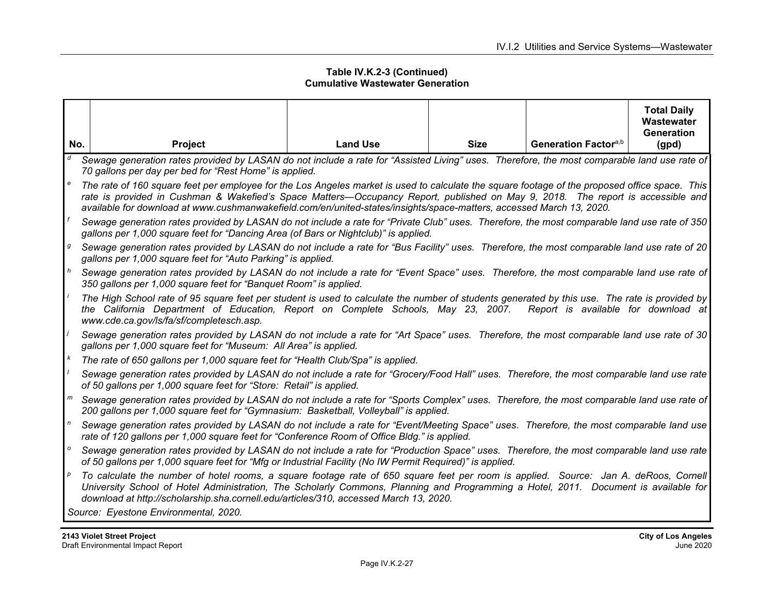|                |                                                                                                                                                                                                                                                                                                                                                                                                           |                 |             |                                  | <b>Total Daily</b><br>Wastewater<br>Generation |  |  |  |  |
|----------------|-----------------------------------------------------------------------------------------------------------------------------------------------------------------------------------------------------------------------------------------------------------------------------------------------------------------------------------------------------------------------------------------------------------|-----------------|-------------|----------------------------------|------------------------------------------------|--|--|--|--|
| No.            | <b>Project</b>                                                                                                                                                                                                                                                                                                                                                                                            | <b>Land Use</b> | <b>Size</b> | Generation Factor <sup>a,b</sup> | (gpd)                                          |  |  |  |  |
| d              | Sewage generation rates provided by LASAN do not include a rate for "Assisted Living" uses. Therefore, the most comparable land use rate of<br>70 gallons per day per bed for "Rest Home" is applied.                                                                                                                                                                                                     |                 |             |                                  |                                                |  |  |  |  |
|                | The rate of 160 square feet per employee for the Los Angeles market is used to calculate the square footage of the proposed office space. This<br>rate is provided in Cushman & Wakefied's Space Matters—Occupancy Report, published on May 9, 2018. The report is accessible and<br>available for download at www.cushmanwakefield.com/en/united-states/insights/space-matters, accessed March 13, 2020. |                 |             |                                  |                                                |  |  |  |  |
| f              | Sewage generation rates provided by LASAN do not include a rate for "Private Club" uses. Therefore, the most comparable land use rate of 350<br>gallons per 1,000 square feet for "Dancing Area (of Bars or Nightclub)" is applied.                                                                                                                                                                       |                 |             |                                  |                                                |  |  |  |  |
| g              | Sewage generation rates provided by LASAN do not include a rate for "Bus Facility" uses. Therefore, the most comparable land use rate of 20<br>gallons per 1,000 square feet for "Auto Parking" is applied.                                                                                                                                                                                               |                 |             |                                  |                                                |  |  |  |  |
| h              | Sewage generation rates provided by LASAN do not include a rate for "Event Space" uses. Therefore, the most comparable land use rate of<br>350 gallons per 1,000 square feet for "Banquet Room" is applied.                                                                                                                                                                                               |                 |             |                                  |                                                |  |  |  |  |
|                | The High School rate of 95 square feet per student is used to calculate the number of students generated by this use. The rate is provided by<br>the California Department of Education, Report on Complete Schools, May 23, 2007. Report is available for download at<br>www.cde.ca.gov/ls/fa/sf/completesch.asp.                                                                                        |                 |             |                                  |                                                |  |  |  |  |
|                | Sewage generation rates provided by LASAN do not include a rate for "Art Space" uses. Therefore, the most comparable land use rate of 30<br>gallons per 1,000 square feet for "Museum: All Area" is applied.                                                                                                                                                                                              |                 |             |                                  |                                                |  |  |  |  |
|                | The rate of 650 gallons per 1,000 square feet for "Health Club/Spa" is applied.                                                                                                                                                                                                                                                                                                                           |                 |             |                                  |                                                |  |  |  |  |
|                | Sewage generation rates provided by LASAN do not include a rate for "Grocery/Food Hall" uses. Therefore, the most comparable land use rate<br>of 50 gallons per 1,000 square feet for "Store: Retail" is applied.                                                                                                                                                                                         |                 |             |                                  |                                                |  |  |  |  |
| m              | Sewage generation rates provided by LASAN do not include a rate for "Sports Complex" uses. Therefore, the most comparable land use rate of<br>200 gallons per 1,000 square feet for "Gymnasium: Basketball, Volleyball" is applied.                                                                                                                                                                       |                 |             |                                  |                                                |  |  |  |  |
| $\mathsf{n}$   | Sewage generation rates provided by LASAN do not include a rate for "Event/Meeting Space" uses. Therefore, the most comparable land use<br>rate of 120 gallons per 1,000 square feet for "Conference Room of Office Bldg." is applied.                                                                                                                                                                    |                 |             |                                  |                                                |  |  |  |  |
| $\mathsf{o}\,$ | Sewage generation rates provided by LASAN do not include a rate for "Production Space" uses. Therefore, the most comparable land use rate<br>of 50 gallons per 1,000 square feet for "Mfg or Industrial Facility (No IW Permit Required)" is applied.                                                                                                                                                     |                 |             |                                  |                                                |  |  |  |  |
|                | <sup>p</sup> To calculate the number of hotel rooms, a square footage rate of 650 square feet per room is applied. Source: Jan A. deRoos, Cornell<br>University School of Hotel Administration, The Scholarly Commons, Planning and Programming a Hotel, 2011. Document is available for<br>download at http://scholarship.sha.cornell.edu/articles/310, accessed March 13, 2020.                         |                 |             |                                  |                                                |  |  |  |  |
|                | Source: Eyestone Environmental, 2020.                                                                                                                                                                                                                                                                                                                                                                     |                 |             |                                  |                                                |  |  |  |  |